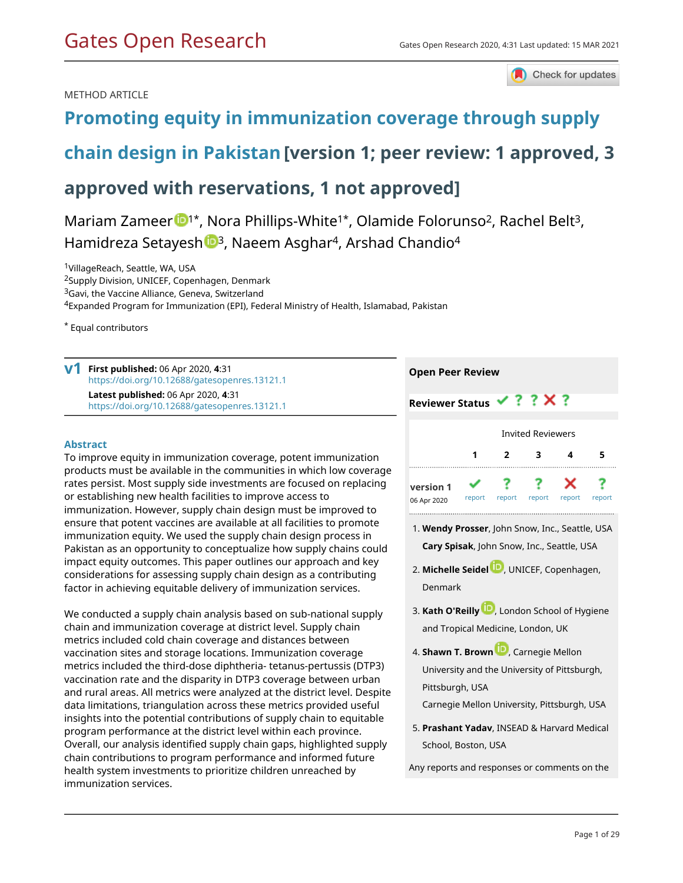Check for updates

### METHOD ARTICLE

# **[Promoting equity in immunization coverage through supply](https://gatesopenresearch.org/articles/4-31/v1)**

# **[chain design in Pakistan](https://gatesopenresearch.org/articles/4-31/v1)[version 1; peer review: 1 approved, 3**

# **approved with reservations, 1 not approved]**

Mariam Zameer  $\mathbb{D}^{1*}$  $\mathbb{D}^{1*}$  $\mathbb{D}^{1*}$ , Nora Phillips-White<sup>1\*</sup>, Olamide Folorunso<sup>2</sup>, Rachel Belt<sup>3</sup>, Hamidreza Setayesh <sup>1[3](https://orcid.org/0000-0003-1691-0298)</sup>, Naeem Asghar<sup>4</sup>, Arshad Chandio<sup>4</sup>

<sup>1</sup>VillageReach, Seattle, WA, USA

<sup>2</sup>Supply Division, UNICEF, Copenhagen, Denmark

<sup>3</sup>Gavi, the Vaccine Alliance, Geneva, Switzerland

<sup>4</sup>Expanded Program for Immunization (EPI), Federal Ministry of Health, Islamabad, Pakistan

\* Equal contributors

**First published:** 06 Apr 2020, **4**:31 **v1** <https://doi.org/10.12688/gatesopenres.13121.1>

> **Latest published:** 06 Apr 2020, **4**:31 <https://doi.org/10.12688/gatesopenres.13121.1>

### **Abstract**

To improve equity in immunization coverage, potent immunization products must be available in the communities in which low coverage rates persist. Most supply side investments are focused on replacing or establishing new health facilities to improve access to immunization. However, supply chain design must be improved to ensure that potent vaccines are available at all facilities to promote immunization equity. We used the supply chain design process in Pakistan as an opportunity to conceptualize how supply chains could impact equity outcomes. This paper outlines our approach and key considerations for assessing supply chain design as a contributing factor in achieving equitable delivery of immunization services.

We conducted a supply chain analysis based on sub-national supply chain and immunization coverage at district level. Supply chain metrics included cold chain coverage and distances between vaccination sites and storage locations. Immunization coverage metrics included the third-dose diphtheria- tetanus-pertussis (DTP3) vaccination rate and the disparity in DTP3 coverage between urban and rural areas. All metrics were analyzed at the district level. Despite data limitations, triangulation across these metrics provided useful insights into the potential contributions of supply chain to equitable program performance at the district level within each province. Overall, our analysis identified supply chain gaps, highlighted supply chain contributions to program performance and informed future health system investments to prioritize children unreached by immunization services.

### **Open Peer Review**

| <b>Reviewer Status</b>   |                          |        | $\checkmark$ ? ? $\times$ ? |        |        |  |  |  |  |  |
|--------------------------|--------------------------|--------|-----------------------------|--------|--------|--|--|--|--|--|
|                          | <b>Invited Reviewers</b> |        |                             |        |        |  |  |  |  |  |
|                          |                          | 2      | 3                           | 4      | 5      |  |  |  |  |  |
| version 1<br>06 Apr 2020 | report                   | report | report                      | report | report |  |  |  |  |  |

- **Wendy Prosser**, John Snow, Inc., Seattle, USA 1. **Cary Spisak**, John Snow, Inc., Seattle, USA
- **Michelle Seide[l](https://orcid.org/0000-0002-9797-6733)** , UNICEF, Copenhagen, 2. Denmark
- **Kath O'Reilly** [,](https://orcid.org/0000-0002-4892-8022) London School of Hygiene 3. and Tropical Medicine, London, UK
- **Shawn T. Brow[n](https://orcid.org/0000-0001-6980-8372)** , Carnegie Mellon 4. University and the University of Pittsburgh, Pittsburgh, USA
	- Carnegie Mellon University, Pittsburgh, USA
- **Prashant Yadav**, INSEAD & Harvard Medical 5. School, Boston, USA

Any reports and responses or comments on the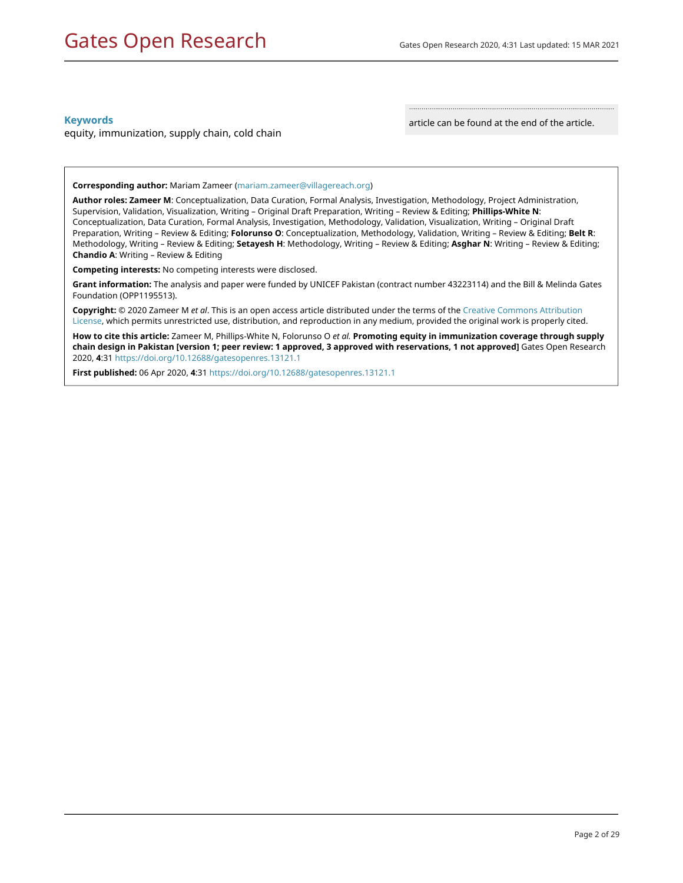### **Keywords**

equity, immunization, supply chain, cold chain

article can be found at the end of the article.

**Corresponding author:** Mariam Zameer ([mariam.zameer@villagereach.org](mailto:mariam.zameer@villagereach.org))

**Author roles: Zameer M**: Conceptualization, Data Curation, Formal Analysis, Investigation, Methodology, Project Administration, Supervision, Validation, Visualization, Writing – Original Draft Preparation, Writing – Review & Editing; **Phillips-White N**: Conceptualization, Data Curation, Formal Analysis, Investigation, Methodology, Validation, Visualization, Writing – Original Draft Preparation, Writing – Review & Editing; **Folorunso O**: Conceptualization, Methodology, Validation, Writing – Review & Editing; **Belt R**: Methodology, Writing – Review & Editing; **Setayesh H**: Methodology, Writing – Review & Editing; **Asghar N**: Writing – Review & Editing; **Chandio A**: Writing – Review & Editing

**Competing interests:** No competing interests were disclosed.

**Grant information:** The analysis and paper were funded by UNICEF Pakistan (contract number 43223114) and the Bill & Melinda Gates Foundation (OPP1195513).

**Copyright:** © 2020 Zameer M *et al*. This is an open access article distributed under the terms of the [Creative Commons Attribution](http://creativecommons.org/licenses/by/4.0/) [License](http://creativecommons.org/licenses/by/4.0/), which permits unrestricted use, distribution, and reproduction in any medium, provided the original work is properly cited.

**How to cite this article:** Zameer M, Phillips-White N, Folorunso O *et al.* **Promoting equity in immunization coverage through supply chain design in Pakistan [version 1; peer review: 1 approved, 3 approved with reservations, 1 not approved]** Gates Open Research 2020, **4**:31<https://doi.org/10.12688/gatesopenres.13121.1>

**First published:** 06 Apr 2020, **4**:31 <https://doi.org/10.12688/gatesopenres.13121.1>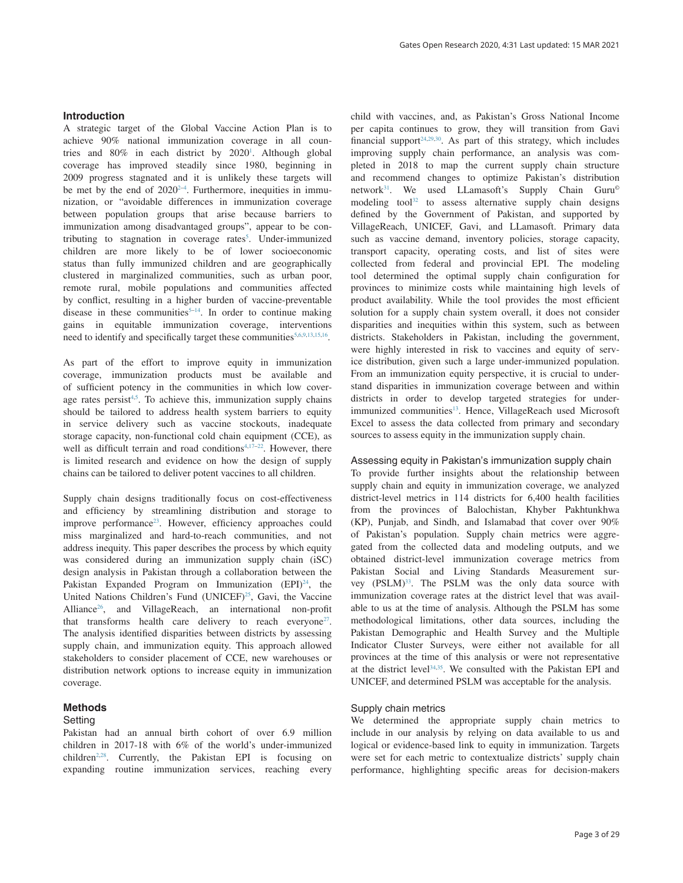#### **Introduction**

A strategic target of the Global Vaccine Action Plan is to achieve 90% national immunization coverage in all coun-tries and 80% in each district by 2020<sup>[1](#page-9-0)</sup>. Although global coverage has improved steadily since 1980, beginning in 2009 progress stagnated and it is unlikely these targets will be met by the end of  $2020^{2-4}$ . Furthermore, inequities in immunization, or "avoidable differences in immunization coverage between population groups that arise because barriers to immunization among disadvantaged groups", appear to be contributing to stagnation in coverage rates<sup>5</sup>. Under-immunized children are more likely to be of lower socioeconomic status than fully immunized children and are geographically clustered in marginalized communities, such as urban poor, remote rural, mobile populations and communities affected by conflict, resulting in a higher burden of vaccine-preventable disease in these communities $5-14$ . In order to continue making gains in equitable immunization coverage, interventions need to identify and specifically target these communities<sup>[5,6,9,13,](#page-9-0)15,16</sup>.

As part of the effort to improve equity in immunization coverage, immunization products must be available and of sufficient potency in the communities in which low coverage rates persist<sup>4,5</sup>. To achieve this, immunization supply chains should be tailored to address health system barriers to equity in service delivery such as vaccine stockouts, inadequate storage capacity, non-functional cold chain equipment (CCE), as well as difficult terrain and road conditions<sup> $4,17-22$ </sup>. However, there is limited research and evidence on how the design of supply chains can be tailored to deliver potent vaccines to all children.

Supply chain designs traditionally focus on cost-effectiveness and efficiency by streamlining distribution and storage to improve performance<sup>23</sup>. However, efficiency approaches could miss marginalized and hard-to-reach communities, and not address inequity. This paper describes the process by which equity was considered during an immunization supply chain (iSC) design analysis in Pakistan through a collaboration between the Pakistan Expanded Program on Immunization  $(EPI)<sup>24</sup>$ , the United Nations Children's Fund (UNICEF)<sup>25</sup>, Gavi, the Vaccine Alliance<sup>26</sup>, and VillageReach, an international non-profit that transforms health care delivery to reach everyone<sup>27</sup>. The analysis identified disparities between districts by assessing supply chain, and immunization equity. This approach allowed stakeholders to consider placement of CCE, new warehouses or distribution network options to increase equity in immunization coverage.

#### **Methods**

#### Setting

Pakistan had an annual birth cohort of over 6.9 million children in 2017-18 with 6% of the world's under-immunized  $children<sup>2,28</sup>$  $children<sup>2,28</sup>$  $children<sup>2,28</sup>$ . Currently, the Pakistan EPI is focusing on expanding routine immunization services, reaching every child with vaccines, and, as Pakistan's Gross National Income per capita continues to grow, they will transition from Gavi financial support<sup>24,29,30</sup>. As part of this strategy, which includes improving supply chain performance, an analysis was completed in 2018 to map the current supply chain structure and recommend changes to optimize Pakistan's distribution network<sup>31</sup>. We used LLamasoft's Supply Chain Guru<sup>®</sup> modeling tool<sup>[32](#page-10-0)</sup> to assess alternative supply chain designs defined by the Government of Pakistan, and supported by VillageReach, UNICEF, Gavi, and LLamasoft. Primary data such as vaccine demand, inventory policies, storage capacity, transport capacity, operating costs, and list of sites were collected from federal and provincial EPI. The modeling tool determined the optimal supply chain configuration for provinces to minimize costs while maintaining high levels of product availability. While the tool provides the most efficient solution for a supply chain system overall, it does not consider disparities and inequities within this system, such as between districts. Stakeholders in Pakistan, including the government, were highly interested in risk to vaccines and equity of service distribution, given such a large under-immunized population. From an immunization equity perspective, it is crucial to understand disparities in immunization coverage between and within districts in order to develop targeted strategies for under-immunized communities<sup>[13](#page-9-0)</sup>. Hence, VillageReach used Microsoft Excel to assess the data collected from primary and secondary sources to assess equity in the immunization supply chain.

#### Assessing equity in Pakistan's immunization supply chain

To provide further insights about the relationship between supply chain and equity in immunization coverage, we analyzed district-level metrics in 114 districts for 6,400 health facilities from the provinces of Balochistan, Khyber Pakhtunkhwa (KP), Punjab, and Sindh, and Islamabad that cover over 90% of Pakistan's population. Supply chain metrics were aggregated from the collected data and modeling outputs, and we obtained district-level immunization coverage metrics from Pakistan Social and Living Standards Measurement survey (PSLM)<sup>33</sup>. The PSLM was the only data source with immunization coverage rates at the district level that was available to us at the time of analysis. Although the PSLM has some methodological limitations, other data sources, including the Pakistan Demographic and Health Survey and the Multiple Indicator Cluster Surveys, were either not available for all provinces at the time of this analysis or were not representative at the district level<sup>34,35</sup>. We consulted with the Pakistan EPI and UNICEF, and determined PSLM was acceptable for the analysis.

#### Supply chain metrics

We determined the appropriate supply chain metrics to include in our analysis by relying on data available to us and logical or evidence-based link to equity in immunization. Targets were set for each metric to contextualize districts' supply chain performance, highlighting specific areas for decision-makers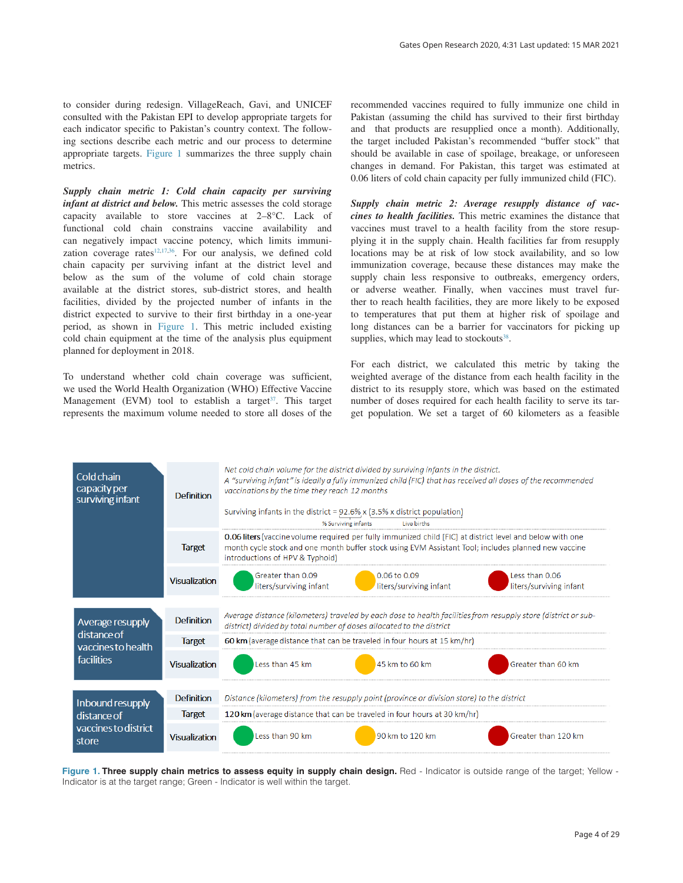to consider during redesign. VillageReach, Gavi, and UNICEF consulted with the Pakistan EPI to develop appropriate targets for each indicator specific to Pakistan's country context. The following sections describe each metric and our process to determine appropriate targets. Figure 1 summarizes the three supply chain metrics.

*Supply chain metric 1: Cold chain capacity per surviving infant at district and below.* This metric assesses the cold storage capacity available to store vaccines at 2–8°C. Lack of functional cold chain constrains vaccine availability and can negatively impact vaccine potency, which limits immunization coverage rates<sup>12,17,36</sup>. For our analysis, we defined cold chain capacity per surviving infant at the district level and below as the sum of the volume of cold chain storage available at the district stores, sub-district stores, and health facilities, divided by the projected number of infants in the district expected to survive to their first birthday in a one-year period, as shown in Figure 1. This metric included existing cold chain equipment at the time of the analysis plus equipment planned for deployment in 2018.

To understand whether cold chain coverage was sufficient, we used the World Health Organization (WHO) Effective Vaccine Management (EVM) tool to establish a target<sup>37</sup>. This target represents the maximum volume needed to store all doses of the recommended vaccines required to fully immunize one child in Pakistan (assuming the child has survived to their first birthday and that products are resupplied once a month). Additionally, the target included Pakistan's recommended "buffer stock" that should be available in case of spoilage, breakage, or unforeseen changes in demand. For Pakistan, this target was estimated at 0.06 liters of cold chain capacity per fully immunized child (FIC).

*Supply chain metric 2: Average resupply distance of vaccines to health facilities.* This metric examines the distance that vaccines must travel to a health facility from the store resupplying it in the supply chain. Health facilities far from resupply locations may be at risk of low stock availability, and so low immunization coverage, because these distances may make the supply chain less responsive to outbreaks, emergency orders, or adverse weather. Finally, when vaccines must travel further to reach health facilities, they are more likely to be exposed to temperatures that put them at higher risk of spoilage and long distances can be a barrier for vaccinators for picking up supplies, which may lead to stockouts $38$ .

For each district, we calculated this metric by taking the weighted average of the distance from each health facility in the district to its resupply store, which was based on the estimated number of doses required for each health facility to serve its target population. We set a target of 60 kilometers as a feasible



Figure 1. Three supply chain metrics to assess equity in supply chain design. Red - Indicator is outside range of the target; Yellow -Indicator is at the target range; Green - Indicator is well within the target.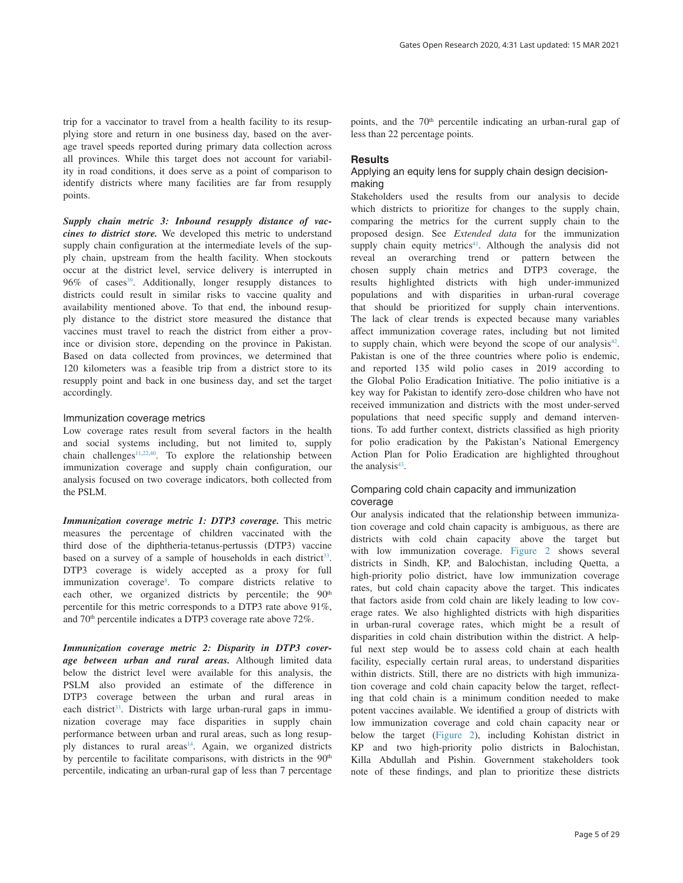trip for a vaccinator to travel from a health facility to its resupplying store and return in one business day, based on the average travel speeds reported during primary data collection across all provinces. While this target does not account for variability in road conditions, it does serve as a point of comparison to identify districts where many facilities are far from resupply

*Supply chain metric 3: Inbound resupply distance of vaccines to district store.* We developed this metric to understand supply chain configuration at the intermediate levels of the supply chain, upstream from the health facility. When stockouts occur at the district level, service delivery is interrupted in  $96\%$  of cases<sup>[39](#page-10-0)</sup>. Additionally, longer resupply distances to districts could result in similar risks to vaccine quality and availability mentioned above. To that end, the inbound resupply distance to the district store measured the distance that vaccines must travel to reach the district from either a province or division store, depending on the province in Pakistan. Based on data collected from provinces, we determined that 120 kilometers was a feasible trip from a district store to its resupply point and back in one business day, and set the target accordingly.

#### Immunization coverage metrics

points.

Low coverage rates result from several factors in the health and social systems including, but not limited to, supply chain challenges<sup>11,[22](#page-10-0),40</sup>. To explore the relationship between immunization coverage and supply chain configuration, our analysis focused on two coverage indicators, both collected from the PSLM.

*Immunization coverage metric 1: DTP3 coverage.* This metric measures the percentage of children vaccinated with the third dose of the diphtheria-tetanus-pertussis (DTP3) vaccine based on a survey of a sample of households in each district<sup>33</sup>. DTP3 coverage is widely accepted as a proxy for full immunization coverage<sup>[8](#page-9-0)</sup>. To compare districts relative to each other, we organized districts by percentile; the 90<sup>th</sup> percentile for this metric corresponds to a DTP3 rate above 91%, and 70<sup>th</sup> percentile indicates a DTP3 coverage rate above 72%.

*Immunization coverage metric 2: Disparity in DTP3 coverage between urban and rural areas.* Although limited data below the district level were available for this analysis, the PSLM also provided an estimate of the difference in DTP3 coverage between the urban and rural areas in each district<sup>33</sup>. Districts with large urban-rural gaps in immunization coverage may face disparities in supply chain performance between urban and rural areas, such as long resup-ply distances to rural areas<sup>[14](#page-9-0)</sup>. Again, we organized districts by percentile to facilitate comparisons, with districts in the 90<sup>th</sup> percentile, indicating an urban-rural gap of less than 7 percentage

points, and the 70<sup>th</sup> percentile indicating an urban-rural gap of less than 22 percentage points.

#### **Results**

### Applying an equity lens for supply chain design decisionmaking

Stakeholders used the results from our analysis to decide which districts to prioritize for changes to the supply chain, comparing the metrics for the current supply chain to the proposed design. See *Extended data* for the immunization supply chain equity metrics<sup>[41](#page-10-0)</sup>. Although the analysis did not reveal an overarching trend or pattern between the chosen supply chain metrics and DTP3 coverage, the results highlighted districts with high under-immunized populations and with disparities in urban-rural coverage that should be prioritized for supply chain interventions. The lack of clear trends is expected because many variables affect immunization coverage rates, including but not limited to supply chain, which were beyond the scope of our analysis $42$ . Pakistan is one of the three countries where polio is endemic, and reported 135 wild polio cases in 2019 according to the Global Polio Eradication Initiative. The polio initiative is a key way for Pakistan to identify zero-dose children who have not received immunization and districts with the most under-served populations that need specific supply and demand interventions. To add further context, districts classified as high priority for polio eradication by the Pakistan's National Emergency Action Plan for Polio Eradication are highlighted throughout the analysis<sup>[43](#page-10-0)</sup>.

### Comparing cold chain capacity and immunization coverage

Our analysis indicated that the relationship between immunization coverage and cold chain capacity is ambiguous, as there are districts with cold chain capacity above the target but with low immunization coverage. [Figure 2](#page-5-0) shows several districts in Sindh, KP, and Balochistan, including Quetta, a high-priority polio district, have low immunization coverage rates, but cold chain capacity above the target. This indicates that factors aside from cold chain are likely leading to low coverage rates. We also highlighted districts with high disparities in urban-rural coverage rates, which might be a result of disparities in cold chain distribution within the district. A helpful next step would be to assess cold chain at each health facility, especially certain rural areas, to understand disparities within districts. Still, there are no districts with high immunization coverage and cold chain capacity below the target, reflecting that cold chain is a minimum condition needed to make potent vaccines available. We identified a group of districts with low immunization coverage and cold chain capacity near or below the target ([Figure 2](#page-5-0)), including Kohistan district in KP and two high-priority polio districts in Balochistan, Killa Abdullah and Pishin. Government stakeholders took note of these findings, and plan to prioritize these districts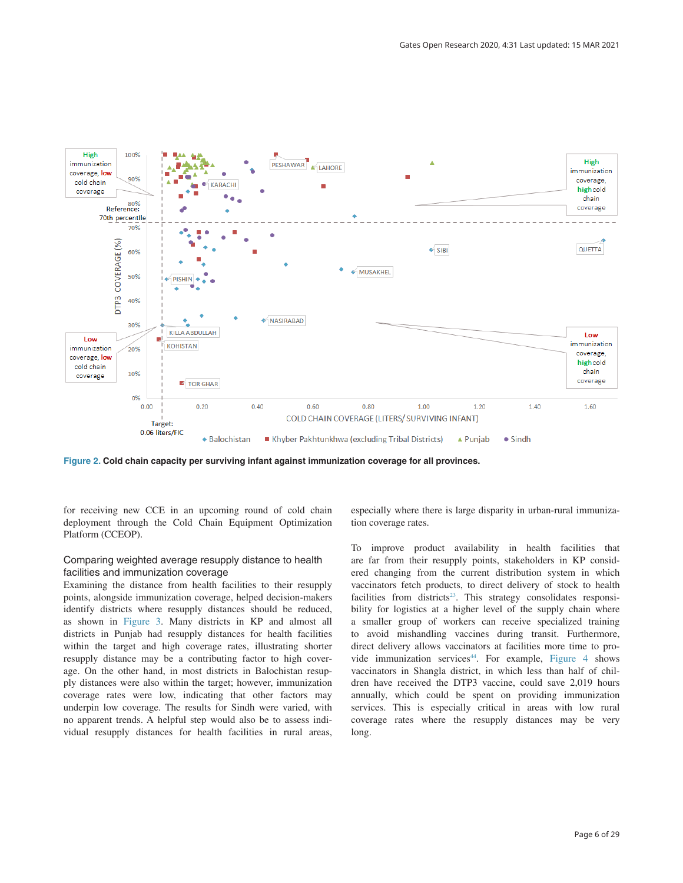<span id="page-5-0"></span>

**Figure 2. Cold chain capacity per surviving infant against immunization coverage for all provinces.**

for receiving new CCE in an upcoming round of cold chain deployment through the Cold Chain Equipment Optimization Platform (CCEOP).

### Comparing weighted average resupply distance to health facilities and immunization coverage

Examining the distance from health facilities to their resupply points, alongside immunization coverage, helped decision-makers identify districts where resupply distances should be reduced, as shown in [Figure 3](#page-6-0). Many districts in KP and almost all districts in Punjab had resupply distances for health facilities within the target and high coverage rates, illustrating shorter resupply distance may be a contributing factor to high coverage. On the other hand, in most districts in Balochistan resupply distances were also within the target; however, immunization coverage rates were low, indicating that other factors may underpin low coverage. The results for Sindh were varied, with no apparent trends. A helpful step would also be to assess individual resupply distances for health facilities in rural areas,

especially where there is large disparity in urban-rural immunization coverage rates.

To improve product availability in health facilities that are far from their resupply points, stakeholders in KP considered changing from the current distribution system in which vaccinators fetch products, to direct delivery of stock to health facilities from districts<sup>23</sup>. This strategy consolidates responsibility for logistics at a higher level of the supply chain where a smaller group of workers can receive specialized training to avoid mishandling vaccines during transit. Furthermore, direct delivery allows vaccinators at facilities more time to provide immunization services $44$ . For example, [Figure 4](#page-6-0) shows vaccinators in Shangla district, in which less than half of children have received the DTP3 vaccine, could save 2,019 hours annually, which could be spent on providing immunization services. This is especially critical in areas with low rural coverage rates where the resupply distances may be very long.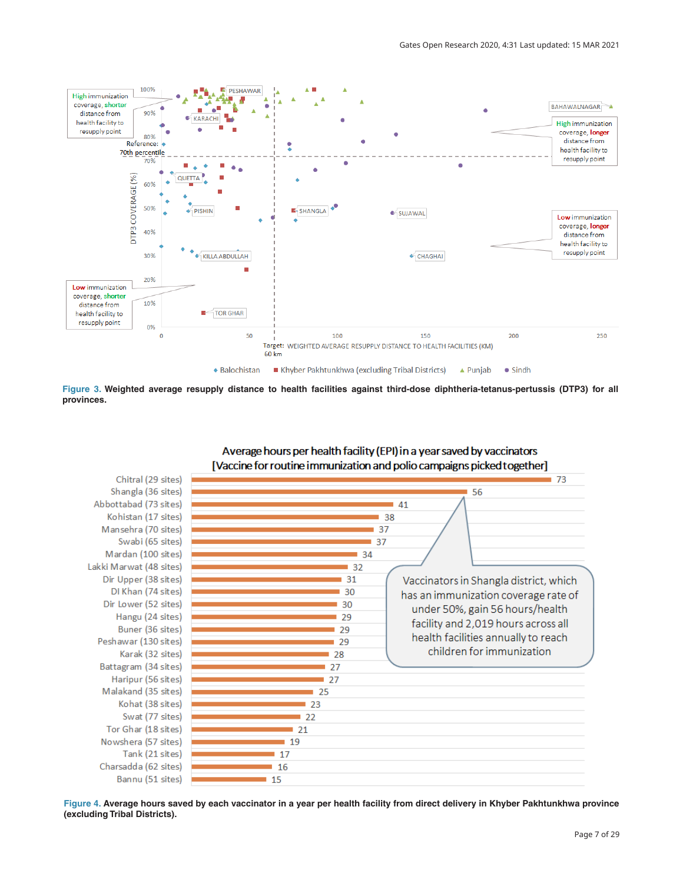<span id="page-6-0"></span>

**Figure 3. Weighted average resupply distance to health facilities against third-dose diphtheria-tetanus-pertussis (DTP3) for all provinces.**



Average hours per health facility (EPI) in a year saved by vaccinators

**Figure 4. Average hours saved by each vaccinator in a year per health facility from direct delivery in Khyber Pakhtunkhwa province (excluding Tribal Districts).**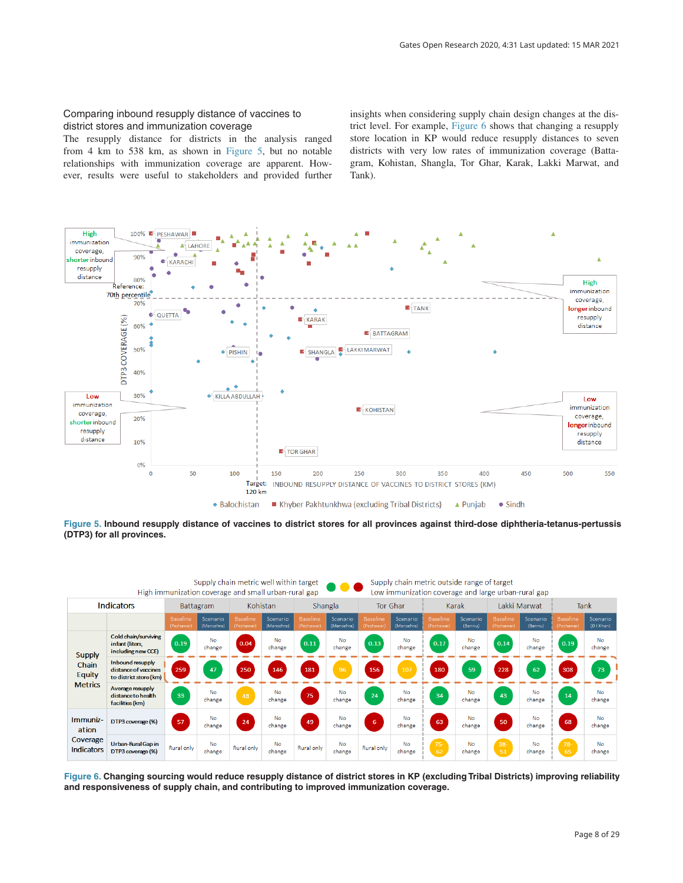### Comparing inbound resupply distance of vaccines to district stores and immunization coverage

The resupply distance for districts in the analysis ranged from 4 km to 538 km, as shown in Figure 5, but no notable relationships with immunization coverage are apparent. However, results were useful to stakeholders and provided further insights when considering supply chain design changes at the district level. For example, Figure 6 shows that changing a resupply store location in KP would reduce resupply distances to seven districts with very low rates of immunization coverage (Battagram, Kohistan, Shangla, Tor Ghar, Karak, Lakki Marwat, and Tank).



**Figure 5. Inbound resupply distance of vaccines to district stores for all provinces against third-dose diphtheria-tetanus-pertussis (DTP3) for all provinces.**

| Supply chain metric well within target<br>Supply chain metric outside range of target<br><b>DOC</b><br>High immunization coverage and small urban-rural gap<br>Low immunization coverage and large urban-rural gap |                                                                    |                              |                        |                        |                        |                               |                        |                        |                        |                             |                     |                               |                     |                               |                        |
|--------------------------------------------------------------------------------------------------------------------------------------------------------------------------------------------------------------------|--------------------------------------------------------------------|------------------------------|------------------------|------------------------|------------------------|-------------------------------|------------------------|------------------------|------------------------|-----------------------------|---------------------|-------------------------------|---------------------|-------------------------------|------------------------|
| <b>Indicators</b>                                                                                                                                                                                                  |                                                                    | <b>Battagram</b>             |                        | Kohistan               |                        | Shangla                       |                        | Tor Ghar               |                        | Karak                       |                     | Lakki Marwat                  |                     | <b>Tank</b>                   |                        |
|                                                                                                                                                                                                                    |                                                                    | <b>Baseline</b><br>(Peshawar | Scenario<br>(Mansehra) | Baseline<br>(Peshawar) | Scenario<br>(Mansehra) | <b>Baseline</b><br>(Peshawar) | Scenario<br>(Mansehra) | Baseline<br>(Peshawar) | Scenario<br>(Mansehra) | <b>Baseline</b><br>Peshawar | Scenario<br>(Bannu) | <b>Baseline</b><br>(Peshawar) | Scenario<br>(Bannu) | <b>Baseline</b><br>(Peshawar) | Scenario<br>(D   Khan) |
| <b>Supply</b><br>Chain<br><b>Equity</b><br><b>Metrics</b>                                                                                                                                                          | Cold chain/surviving<br>infant (liters,<br>including new CCE)      | 0.19                         | <b>No</b><br>change    | 0.04                   | <b>No</b><br>change    | 0.11                          | <b>No</b><br>change    | 0.13                   | No<br>change           | 0.17                        | <b>No</b><br>change | 0.14                          | No<br>change        | 0.19                          | <b>No</b><br>change    |
|                                                                                                                                                                                                                    | Inbound resupply<br>distance of vaccines<br>to district store (km) | 259                          | 47                     | 250                    | 146                    | 181                           | 96                     | 156                    | 107                    | 180                         | 59                  | 228                           | 62                  | 308                           | 73                     |
|                                                                                                                                                                                                                    | Average resupply<br>distance to health<br>facilities (km)          | 33                           | <b>No</b><br>change    | 48                     | No<br>change           | 75                            | <b>No</b><br>change    | 24                     | <b>No</b><br>change    | 34                          | <b>No</b><br>change | 43                            | <b>No</b><br>change | 14                            | <b>No</b><br>change    |
| Immuniz-<br>ation<br>Coverage<br><b>Indicators</b>                                                                                                                                                                 | DTP3 coverage (%)                                                  | 57                           | <b>No</b><br>change    | 24                     | <b>No</b><br>change    | 49                            | <b>No</b><br>change    | 6                      | <b>No</b><br>change    | 63                          | <b>No</b><br>change | 50                            | <b>No</b><br>change | 68                            | <b>No</b><br>change    |
|                                                                                                                                                                                                                    | Urban-Rural Gap in<br>DTP3 coverage (%)                            | Rural only                   | No<br>change           | <b>Rural</b> only      | <b>No</b><br>change    | Rural only                    | <b>No</b><br>change    | Rural only             | <b>No</b><br>change    | $75 -$<br>62                | <b>No</b><br>change | $38 -$<br>51                  | <b>No</b><br>change | $78-$<br>65                   | <b>No</b><br>change    |

**Figure 6. Changing sourcing would reduce resupply distance of district stores in KP (excluding Tribal Districts) improving reliability and responsiveness of supply chain, and contributing to improved immunization coverage.**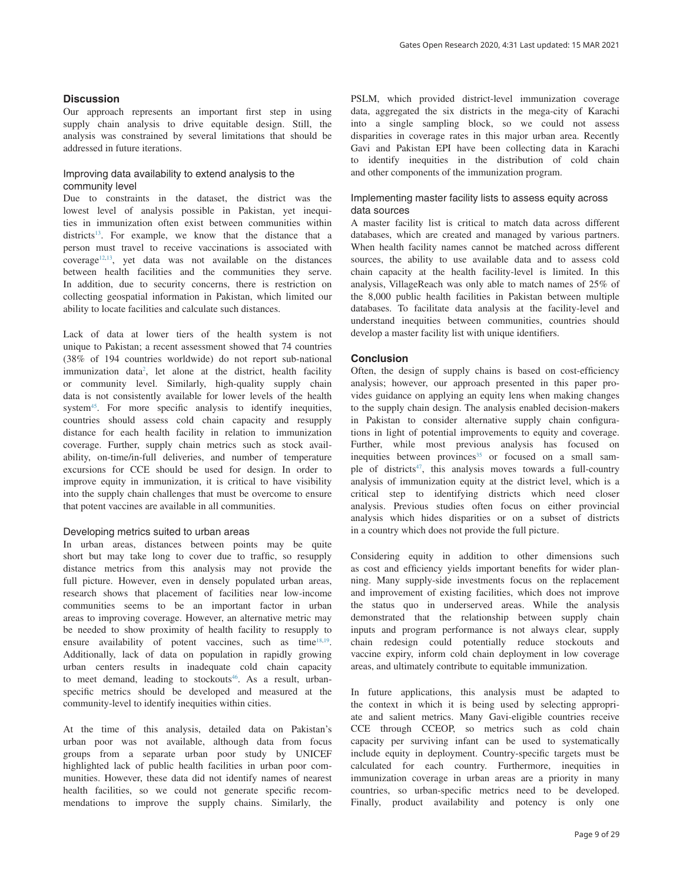### **Discussion**

Our approach represents an important first step in using supply chain analysis to drive equitable design. Still, the analysis was constrained by several limitations that should be addressed in future iterations.

### Improving data availability to extend analysis to the community level

Due to constraints in the dataset, the district was the lowest level of analysis possible in Pakistan, yet inequities in immunization often exist between communities within districts<sup>13</sup>. For example, we know that the distance that a person must travel to receive vaccinations is associated with coverage<sup>12,13</sup>, yet data was not available on the distances between health facilities and the communities they serve. In addition, due to security concerns, there is restriction on collecting geospatial information in Pakistan, which limited our ability to locate facilities and calculate such distances.

Lack of data at lower tiers of the health system is not unique to Pakistan; a recent assessment showed that 74 countries (38% of 194 countries worldwide) do not report sub-national immunization data<sup>[2](#page-9-0)</sup>, let alone at the district, health facility or community level. Similarly, high-quality supply chain data is not consistently available for lower levels of the health system<sup>45</sup>. For more specific analysis to identify inequities, countries should assess cold chain capacity and resupply distance for each health facility in relation to immunization coverage. Further, supply chain metrics such as stock availability, on-time/in-full deliveries, and number of temperature excursions for CCE should be used for design. In order to improve equity in immunization, it is critical to have visibility into the supply chain challenges that must be overcome to ensure that potent vaccines are available in all communities.

#### Developing metrics suited to urban areas

In urban areas, distances between points may be quite short but may take long to cover due to traffic, so resupply distance metrics from this analysis may not provide the full picture. However, even in densely populated urban areas, research shows that placement of facilities near low-income communities seems to be an important factor in urban areas to improving coverage. However, an alternative metric may be needed to show proximity of health facility to resupply to ensure availability of potent vaccines, such as time<sup>[18,19](#page-10-0)</sup>. Additionally, lack of data on population in rapidly growing urban centers results in inadequate cold chain capacity to meet demand, leading to stockouts<sup>[46](#page-10-0)</sup>. As a result, urbanspecific metrics should be developed and measured at the community-level to identify inequities within cities.

At the time of this analysis, detailed data on Pakistan's urban poor was not available, although data from focus groups from a separate urban poor study by UNICEF highlighted lack of public health facilities in urban poor communities. However, these data did not identify names of nearest health facilities, so we could not generate specific recommendations to improve the supply chains. Similarly, the

PSLM, which provided district-level immunization coverage data, aggregated the six districts in the mega-city of Karachi into a single sampling block, so we could not assess disparities in coverage rates in this major urban area. Recently Gavi and Pakistan EPI have been collecting data in Karachi to identify inequities in the distribution of cold chain and other components of the immunization program.

### Implementing master facility lists to assess equity across data sources

A master facility list is critical to match data across different databases, which are created and managed by various partners. When health facility names cannot be matched across different sources, the ability to use available data and to assess cold chain capacity at the health facility-level is limited. In this analysis, VillageReach was only able to match names of 25% of the 8,000 public health facilities in Pakistan between multiple databases. To facilitate data analysis at the facility-level and understand inequities between communities, countries should develop a master facility list with unique identifiers.

#### **Conclusion**

Often, the design of supply chains is based on cost-efficiency analysis; however, our approach presented in this paper provides guidance on applying an equity lens when making changes to the supply chain design. The analysis enabled decision-makers in Pakistan to consider alternative supply chain configurations in light of potential improvements to equity and coverage. Further, while most previous analysis has focused on inequities between provinces<sup>35</sup> or focused on a small sample of districts<sup>47</sup>, this analysis moves towards a full-country analysis of immunization equity at the district level, which is a critical step to identifying districts which need closer analysis. Previous studies often focus on either provincial analysis which hides disparities or on a subset of districts in a country which does not provide the full picture.

Considering equity in addition to other dimensions such as cost and efficiency yields important benefits for wider planning. Many supply-side investments focus on the replacement and improvement of existing facilities, which does not improve the status quo in underserved areas. While the analysis demonstrated that the relationship between supply chain inputs and program performance is not always clear, supply chain redesign could potentially reduce stockouts and vaccine expiry, inform cold chain deployment in low coverage areas, and ultimately contribute to equitable immunization.

In future applications, this analysis must be adapted to the context in which it is being used by selecting appropriate and salient metrics. Many Gavi-eligible countries receive CCE through CCEOP, so metrics such as cold chain capacity per surviving infant can be used to systematically include equity in deployment. Country-specific targets must be calculated for each country. Furthermore, inequities in immunization coverage in urban areas are a priority in many countries, so urban-specific metrics need to be developed. Finally, product availability and potency is only one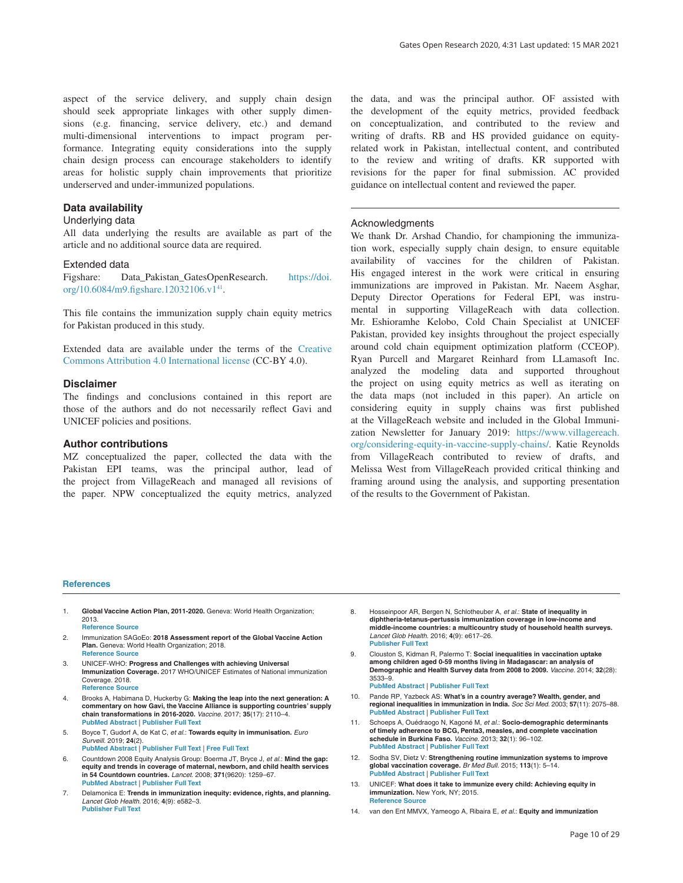<span id="page-9-0"></span>aspect of the service delivery, and supply chain design should seek appropriate linkages with other supply dimensions (e.g. financing, service delivery, etc.) and demand multi-dimensional interventions to impact program performance. Integrating equity considerations into the supply chain design process can encourage stakeholders to identify areas for holistic supply chain improvements that prioritize underserved and under-immunized populations.

#### **Data availability**

#### Underlying data

All data underlying the results are available as part of the article and no additional source data are required.

#### Extended data

Figshare: Data\_Pakistan\_GatesOpenResearch. [https://doi.](https://doi.org/10.6084/m9.figshare.12032106.v1) [org/10.6084/m9.figshare.12032106.v1](https://doi.org/10.6084/m9.figshare.12032106.v1)<sup>41</sup>.

This file contains the immunization supply chain equity metrics for Pakistan produced in this study.

Extended data are available under the terms of the [Creative](https://creativecommons.org/licenses/by/4.0/legalcode)  [Commons Attribution 4.0 International license](https://creativecommons.org/licenses/by/4.0/legalcode) (CC-BY 4.0).

#### **Disclaimer**

The findings and conclusions contained in this report are those of the authors and do not necessarily reflect Gavi and UNICEF policies and positions.

#### **Author contributions**

MZ conceptualized the paper, collected the data with the Pakistan EPI teams, was the principal author, lead of the project from VillageReach and managed all revisions of the paper. NPW conceptualized the equity metrics, analyzed

the data, and was the principal author. OF assisted with the development of the equity metrics, provided feedback on conceptualization, and contributed to the review and writing of drafts. RB and HS provided guidance on equityrelated work in Pakistan, intellectual content, and contributed to the review and writing of drafts. KR supported with revisions for the paper for final submission. AC provided guidance on intellectual content and reviewed the paper.

#### Acknowledgments

We thank Dr. Arshad Chandio, for championing the immunization work, especially supply chain design, to ensure equitable availability of vaccines for the children of Pakistan. His engaged interest in the work were critical in ensuring immunizations are improved in Pakistan. Mr. Naeem Asghar, Deputy Director Operations for Federal EPI, was instrumental in supporting VillageReach with data collection. Mr. Eshioramhe Kelobo, Cold Chain Specialist at UNICEF Pakistan, provided key insights throughout the project especially around cold chain equipment optimization platform (CCEOP). Ryan Purcell and Margaret Reinhard from LLamasoft Inc. analyzed the modeling data and supported throughout the project on using equity metrics as well as iterating on the data maps (not included in this paper). An article on considering equity in supply chains was first published at the VillageReach website and included in the Global Immunization Newsletter for January 2019: [https://www.villagereach.](https://www.villagereach.org/considering-equity-in-vaccine-supply-chains/) [org/considering-equity-in-vaccine-supply-chains/](https://www.villagereach.org/considering-equity-in-vaccine-supply-chains/). Katie Reynolds from VillageReach contributed to review of drafts, and Melissa West from VillageReach provided critical thinking and framing around using the analysis, and supporting presentation of the results to the Government of Pakistan.

#### **References**

- 1. **Global Vaccine Action Plan, 2011-2020.** Geneva: World Health Organization; 2013. **[Reference Source](https://www.who.int/immunization/global_vaccine_action_plan/GVAP_doc_2011_2020/en/)**
- 2. Immunization SAGoEo: **2018 Assessment report of the Global Vaccine Action Plan.** Geneva: World Health Organization; 2018. **[Reference Source](https://www.who.int/immunization/global_vaccine_action_plan/SAGE_GVAP_Assessment_Report_2018_EN.pdf?ua=1)**
- 3. UNICEF-WHO: **Progress and Challenges with achieving Universal Immunization Coverage.** 2017 WHO/UNICEF Estimates of National immunization Coverage. 2018. **[Reference Source](https://www.who.int/immunization/monitoring_surveillance/who-immuniz.pdf?ua=1)**
- 4. Brooks A, Habimana D, Huckerby G: **Making the leap into the next generation: A commentary on how Gavi, the Vaccine Alliance is supporting countries' supply chain transformations in 2016-2020.** *Vaccine.* 2017; **35**(17): 2110–4. **[PubMed Abstract](http://www.ncbi.nlm.nih.gov/pubmed/28364917)** | **[Publisher Full Text](http://dx.doi.org/10.1016/j.vaccine.2016.12.072)**
- 5. Boyce T, Gudorf A, de Kat C, *et al.*: **Towards equity in immunisation.** *Euro Surveill.* 2019; **24**(2).
- **[PubMed Abstract](http://www.ncbi.nlm.nih.gov/pubmed/30646979)** | **[Publisher Full Text](http://dx.doi.org/10.2807/1560-7917.ES.2019.24.2.1800204)** | **[Free Full Text](http://www.ncbi.nlm.nih.gov/pmc/articles/6337057)**
- 6. Countdown 2008 Equity Analysis Group: Boerma JT, Bryce J, *et al.*: **Mind the gap: equity and trends in coverage of maternal, newborn, and child health services in 54 Countdown countries.** *Lancet.* 2008; **371**(9620): 1259–67. **[PubMed Abstract](http://www.ncbi.nlm.nih.gov/pubmed/18406860)** | **[Publisher Full Text](http://dx.doi.org/10.1016/S0140-6736(08)60560-7)**
- 7. Delamonica E: **Trends in immunization inequity: evidence, rights, and planning.** *Lancet Glob Health.* 2016; **4**(9): e582–3. **[Publisher Full Text](http://dx.doi.org/10.1016/S2214-109X(16)30189-9)**
- 8. Hosseinpoor AR, Bergen N, Schlotheuber A, *et al.*: **State of inequality in diphtheria-tetanus-pertussis immunization coverage in low-income and middle-income countries: a multicountry study of household health surveys.** *Lancet Glob Health.* 2016; **4**(9): e617–26. **[Publisher Full Text](http://dx.doi.org/10.1016/S2214-109X(16)30141-3)**
- 9. Clouston S, Kidman R, Palermo T: **Social inequalities in vaccination uptake among children aged 0-59 months living in Madagascar: an analysis of Demographic and Health Survey data from 2008 to 2009.** *Vaccine.* 2014; **32**(28): 3533–9. **[PubMed Abstract](http://www.ncbi.nlm.nih.gov/pubmed/24814558)** | **[Publisher Full Text](http://dx.doi.org/10.1016/j.vaccine.2014.04.030)**
- 10. Pande RP, Yazbeck AS: **What's in a country average? Wealth, gender, and regional inequalities in immunization in India.** *Soc Sci Med.* 2003; **57**(11): 2075–88.
- **[PubMed Abstract](http://www.ncbi.nlm.nih.gov/pubmed/14512239)** | **[Publisher Full Text](http://dx.doi.org/10.1016/s0277-9536(03)00085-6)** 11. Schoeps A, Ouédraogo N, Kagoné M, *et al.*: **Socio-demographic determinants**
- **of timely adherence to BCG, Penta3, measles, and complete vaccination schedule in Burkina Faso.** *Vaccine.* 2013; **32**(1): 96–102. **[PubMed Abstract](http://www.ncbi.nlm.nih.gov/pubmed/24183978)** | **[Publisher Full Text](http://dx.doi.org/10.1016/j.vaccine.2013.10.063)**
- 12. Sodha SV, Dietz V: **Strengthening routine immunization systems to improve global vaccination coverage.** *Br Med Bull.* 2015; **113**(1): 5–14. **[PubMed Abstract](http://www.ncbi.nlm.nih.gov/pubmed/25649959)** | **[Publisher Full Text](http://dx.doi.org/10.1093/bmb/ldv001)**
- 13. UNICEF: **What does it take to immunize every child: Achieving equity in immunization.** New York, NY; 2015. **[Reference Source](https://www.unicef.org/immunization)**
- 14. van den Ent MMVX, Yameogo A, Ribaira E, *et al.*: **Equity and immunization**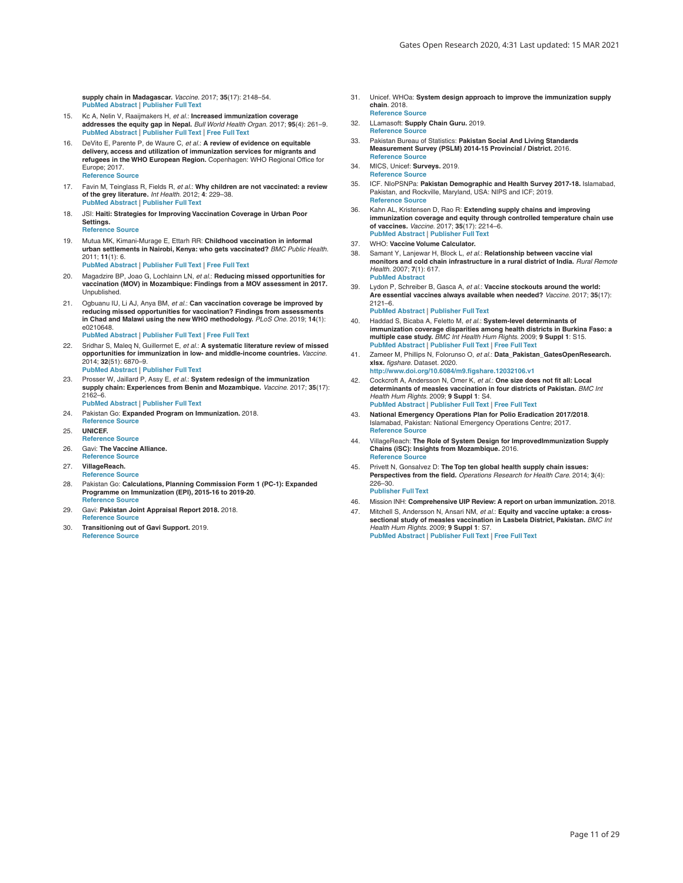<span id="page-10-0"></span>**supply chain in Madagascar.** *Vaccine.* 2017; **35**(17): 2148–54. **[Publisher Full Text](http://dx.doi.org/10.1016/j.vaccine.2016.11.099)** 

- 15. Kc A, Nelin V, Raaijmakers H, *et al.*: **Increased immunization coverage addresses the equity gap in Nepal.** *Bull World Health Organ.* 2017; **95**(4): 261–9. **[PubMed Abstract](http://www.ncbi.nlm.nih.gov/pubmed/28479621)** | **[Publisher Full Text](http://dx.doi.org/10.2471/BLT.16.178327)** | **[Free Full Text](http://www.ncbi.nlm.nih.gov/pmc/articles/5407251)**
- 16. DeVito E, Parente P, de Waure C, *et al.*: **A review of evidence on equitable delivery, access and utilization of immunization services for migrants and refugees in the WHO European Region.** Copenhagen: WHO Regional Office for Europe; 2017. **[Reference Source](https://www.ncbi.nlm.nih.gov/books/NBK475647/pdf/Bookshelf_NBK475647.pdf)**
- 17. Favin M, Teinglass R, Fields R, *et al.*: **Why children are not vaccinated: a review of the grey literature.** *Int Health.* 2012; **4**: 229–38. **[PubMed Abstract](http://www.ncbi.nlm.nih.gov/pubmed/24029668)** | **[Publisher Full Text](http://dx.doi.org/10.1016/j.inhe.2012.07.004)**
- 18. JSI: **Haiti: Strategies for Improving Vaccination Coverage in Urban Poor Settings. [Reference Source](https://www.jsi.com/resource/haiti-strategies-for-improving-vaccination-coverage-in-urban-poor-settings/)**
- 19. Mutua MK, Kimani-Murage E, Ettarh RR: **Childhood vaccination in informal urban settlements in Nairobi, Kenya: who gets vaccinated?** *BMC Public Health.* 2011; **11**(1): 6. **[PubMed Abstract](http://www.ncbi.nlm.nih.gov/pubmed/21205306)** | **[Publisher Full Text](http://dx.doi.org/10.1186/1471-2458-11-6)** | **[Free Full Text](http://www.ncbi.nlm.nih.gov/pmc/articles/3024932)**
- 20. Magadzire BP, Joao G, Lochlainn LN, *et al.*: **Reducing missed opportunities for**
- **vaccination (MOV) in Mozambique: Findings from a MOV assessment in 2017.** Unpublished.
- 21. Ogbuanu IU, Li AJ, Anya BM, *et al.*: **Can vaccination coverage be improved by reducing missed opportunities for vaccination? Findings from assessments in Chad and Malawi using the new WHO methodology.** *PLoS One.* 2019; **14**(1): e0210648. **[PubMed Abstract](http://www.ncbi.nlm.nih.gov/pubmed/30677072)** | **[Publisher Full Text](http://dx.doi.org/10.1371/journal.pone.0210648)** | **[Free Full Text](http://www.ncbi.nlm.nih.gov/pmc/articles/6345496)**
- 22. Sridhar S, Maleq N, Guillermet E, *et al.*: **A systematic literature review of missed opportunities for immunization in low- and middle-income countries.** *Vaccine.* 2014; **32**(51): 6870–9. **[PubMed Abstract](http://www.ncbi.nlm.nih.gov/pubmed/25444813)** | **[Publisher Full Text](http://dx.doi.org/10.1016/j.vaccine.2014.10.063)**
- 23. Prosser W, Jaillard P, Assy E, *et al.*: **System redesign of the immunization supply chain: Experiences from Benin and Mozambique.** *Vaccine.* 2017; **35**(17): 2162–6.
- **[PubMed Abstract](http://www.ncbi.nlm.nih.gov/pubmed/28364925)** | **[Publisher Full Text](http://dx.doi.org/10.1016/j.vaccine.2016.09.073)** 24. Pakistan Go: **Expanded Program on Immunization.** 2018.
- **[Reference Source](https://www.doh.gov.ph/expanded-program-on-immunization)**
- 25. **UNICEF.**
- **[Reference Source](https://www.unicef.org/)** 26. Gavi: **The Vaccine Alliance.**
- **[Reference Source](https://www.gavi.org/)** 27. **VillageReach.**
- **[Reference Source](https://www.villagereach.org/)**
- 28. Pakistan Go: **Calculations, Planning Commission Form 1 (PC-1): Expanded Programme on Immunization (EPI), 2015-16 to 2019-20**. **Rence Source**
- 29. Gavi: **Pakistan Joint Appraisal Report 2018.** 2018. **[Reference Source](https://www.gavi.org/sites/default/files/document/joint-appraisal-pakistan-2018pdf.pdf)**
- 30. **Transitioning out of Gavi Support.** 2019. **[Reference Source](https://www.gavi.org/types-support/sustainability/transition)**
- 31. Unicef. WHOa: **System design approach to improve the immunization supply chain**. 2018. **[Reference Source](https://apps.who.int/iris/bitstream/handle/10665/272853/WHO-IVB-18.01-eng.pdf?ua=1)**
- 32. LLamasoft: **Supply Chain Guru.** 2019.
- **Reference Soure**
- 33. Pakistan Bureau of Statistics: **Pakistan Social And Living Standards Measurement Survey (PSLM) 2014-15 Provincial / District.** 2016. **[Reference Source](http://www.pbs.gov.pk/node/1650)**
- 34. MICS, Unicef: **Surveys.** 2019. **[Reference Source](http://mics.unicef.org/surveys)**
- 35. ICF. NIoPSNPa: **Pakistan Demographic and Health Survey 2017-18.** Islamabad, Pakistan, and Rockville, Maryland, USA: NIPS and ICF; 2019. **[Reference Source](https://www.nips.org.pk/abstract_files/PDHS - 2017-18 Key indicator Report Aug 2018.pdf)**
- 36. Kahn AL, Kristensen D, Rao R: **Extending supply chains and improving immunization coverage and equity through controlled temperature chain use of vaccines.** *Vaccine.* 2017; **35**(17): 2214–6. **[PubMed Abstract](http://www.ncbi.nlm.nih.gov/pubmed/28364934)** | **[Publisher Full Text](http://dx.doi.org/10.1016/j.vaccine.2016.10.091)**
- 37. WHO: **Vaccine Volume Calculator.**
- 38. Samant Y, Lanjewar H, Block L, *et al.*: **Relationship between vaccine vial monitors and cold chain infrastructure in a rural district of India.** *Rural Remote Health.* 2007; **7**(1): 617. **[PubMed Abstract](http://www.ncbi.nlm.nih.gov/pubmed/17288508)**
- 39. Lydon P, Schreiber B, Gasca A, *et al.*: **Vaccine stockouts around the world: Are essential vaccines always available when needed?** *Vaccine.* 2017; **35**(17): 2121–6.

**[PubMed Abstract](http://www.ncbi.nlm.nih.gov/pubmed/28364919)** | **[Publisher Full Text](http://dx.doi.org/10.1016/j.vaccine.2016.12.071)**

- 40. Haddad S, Bicaba A, Feletto M, *et al.*: **System-level determinants of immunization coverage disparities among health districts in Burkina Faso: a multiple case study.** *BMC Int Health Hum Rights.* 2009; **9 Suppl 1**: S15. **[PubMed Abstract](http://www.ncbi.nlm.nih.gov/pubmed/19828059)** | **[Publisher Full Text](http://dx.doi.org/10.1186/1472-698X-9-S1-S15)** | **[Free Full Text](http://www.ncbi.nlm.nih.gov/pmc/articles/3226234)**
- 41. Zameer M, Phillips N, Folorunso O, *et al.*: **Data\_Pakistan\_GatesOpenResearch. xlsx.** *figshare.* Dataset. 2020. **<http://www.doi.org/10.6084/m9.figshare.12032106.v1>**
- 42. Cockcroft A, Andersson N, Omer K, *et al.*: **One size does not fit all: Local determinants of measles vaccination in four districts of Pakistan.** *BMC Int Health Hum Rights.* 2009; **9 Suppl 1**: S4. **[PubMed Abstract](http://www.ncbi.nlm.nih.gov/pubmed/19828062)** | **[Publisher Full Text](http://dx.doi.org/10.1186/1472-698X-9-S1-S4)** | **[Free Full Text](http://www.ncbi.nlm.nih.gov/pmc/articles/3226236)**
- 43. **National Emergency Operations Plan for Polio Eradication 2017/2018**. Islamabad, Pakistan: National Emergency Operations Centre; 2017. **[Reference Source](http://polioeradication.org/wp-content/uploads/2016/07/NEAP-2017_2018_v6.pdf)**
- 44. VillageReach: **The Role of System Design for ImprovedImmunization Supply Chains (iSC): Insights from Mozambique.** 2016. **[Reference Source](https://www.villagereach.org/wp-content/uploads/2016/10/System-Design_Mozambique-Impact-Overview.pdf)**
- 45. Privett N, Gonsalvez D: **The Top ten global health supply chain issues: Perspectives from the field.** *Operations Research for Health Care.* 2014; **3**(4): 226–30. **[Publisher Full Text](http://dx.doi.org/10.1016/j.orhc.2014.09.002)**
- 46. Mission INH: **Comprehensive UIP Review: A report on urban immunization.** 2018.
- 47. Mitchell S, Andersson N, Ansari NM, *et al.*: **Equity and vaccine uptake: a crosssectional study of measles vaccination in Lasbela District, Pakistan.** *BMC Int Health Hum Rights.* 2009; **9 Suppl 1**: S7. **[PubMed Abstract](http://www.ncbi.nlm.nih.gov/pubmed/19828065)** | **[Publisher Full Text](http://dx.doi.org/10.1186/1472-698X-9-S1-S7)** | **[Free Full Text](http://www.ncbi.nlm.nih.gov/pmc/articles/3226239)**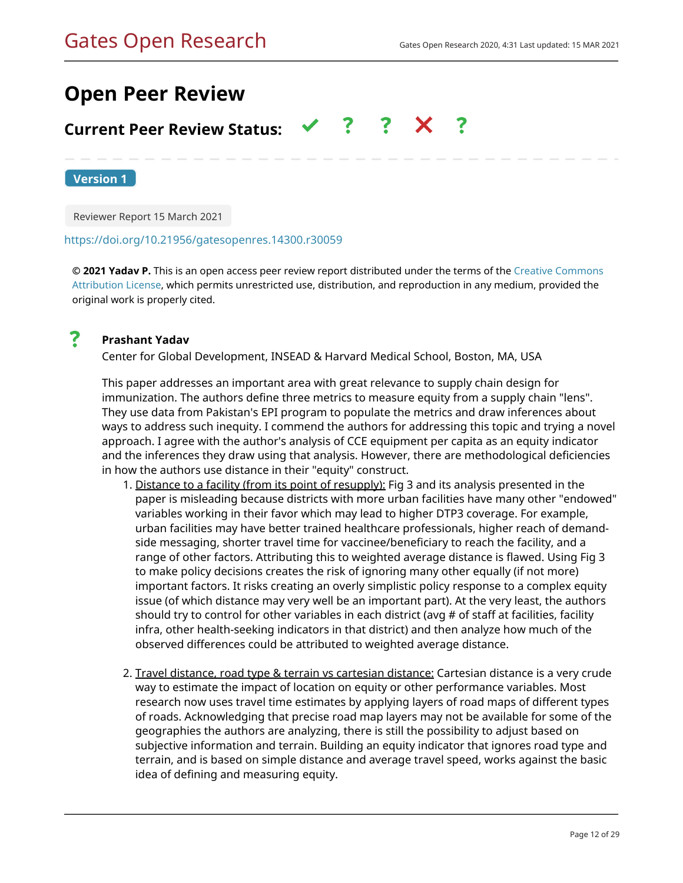# **Open Peer Review**

#### $\mathbf{?}$ **Current Peer Review Status:**

**Version 1**

Reviewer Report 15 March 2021

### <https://doi.org/10.21956/gatesopenres.14300.r30059>

**© 2021 Yadav P.** This is an open access peer review report distributed under the terms of the [Creative Commons](https://creativecommons.org/licenses/by/4.0/) [Attribution License](https://creativecommons.org/licenses/by/4.0/), which permits unrestricted use, distribution, and reproduction in any medium, provided the original work is properly cited.



# **Prashant Yadav**

Center for Global Development, INSEAD & Harvard Medical School, Boston, MA, USA

This paper addresses an important area with great relevance to supply chain design for immunization. The authors define three metrics to measure equity from a supply chain "lens". They use data from Pakistan's EPI program to populate the metrics and draw inferences about ways to address such inequity. I commend the authors for addressing this topic and trying a novel approach. I agree with the author's analysis of CCE equipment per capita as an equity indicator and the inferences they draw using that analysis. However, there are methodological deficiencies in how the authors use distance in their "equity" construct.

- 1. <u>Distance to a facility (from its point of resupply):</u> Fig 3 and its analysis presented in the paper is misleading because districts with more urban facilities have many other "endowed" variables working in their favor which may lead to higher DTP3 coverage. For example, urban facilities may have better trained healthcare professionals, higher reach of demandside messaging, shorter travel time for vaccinee/beneficiary to reach the facility, and a range of other factors. Attributing this to weighted average distance is flawed. Using Fig 3 to make policy decisions creates the risk of ignoring many other equally (if not more) important factors. It risks creating an overly simplistic policy response to a complex equity issue (of which distance may very well be an important part). At the very least, the authors should try to control for other variables in each district (avg # of staff at facilities, facility infra, other health-seeking indicators in that district) and then analyze how much of the observed differences could be attributed to weighted average distance.
- 2. <u>Travel distance, road type & terrain vs cartesian distance:</u> Cartesian distance is a very crude way to estimate the impact of location on equity or other performance variables. Most research now uses travel time estimates by applying layers of road maps of different types of roads. Acknowledging that precise road map layers may not be available for some of the geographies the authors are analyzing, there is still the possibility to adjust based on subjective information and terrain. Building an equity indicator that ignores road type and terrain, and is based on simple distance and average travel speed, works against the basic idea of defining and measuring equity.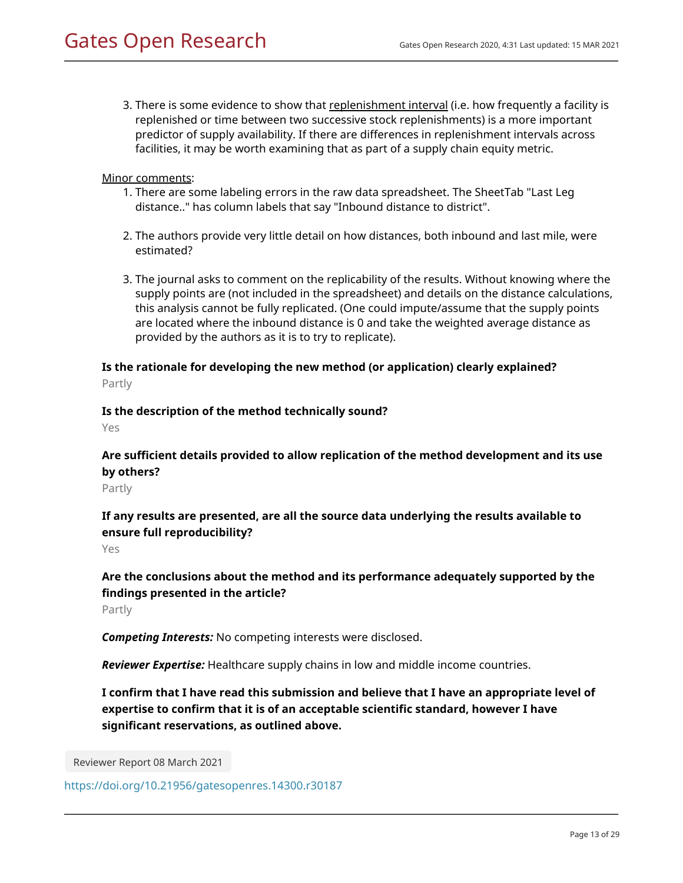3. There is some evidence to show that <u>replenishment interval</u> (i.e. how frequently a facility is replenished or time between two successive stock replenishments) is a more important predictor of supply availability. If there are differences in replenishment intervals across facilities, it may be worth examining that as part of a supply chain equity metric.

Minor comments:

- 1. There are some labeling errors in the raw data spreadsheet. The SheetTab "Last Leg distance.." has column labels that say "Inbound distance to district".
- 2. The authors provide very little detail on how distances, both inbound and last mile, were estimated?
- 3. The journal asks to comment on the replicability of the results. Without knowing where the supply points are (not included in the spreadsheet) and details on the distance calculations, this analysis cannot be fully replicated. (One could impute/assume that the supply points are located where the inbound distance is 0 and take the weighted average distance as provided by the authors as it is to try to replicate).

# **Is the rationale for developing the new method (or application) clearly explained?**

Partly

### **Is the description of the method technically sound?**

Yes

# **Are sufficient details provided to allow replication of the method development and its use by others?**

Partly

# **If any results are presented, are all the source data underlying the results available to ensure full reproducibility?**

Yes

# **Are the conclusions about the method and its performance adequately supported by the findings presented in the article?**

Partly

*Competing Interests:* No competing interests were disclosed.

*Reviewer Expertise:* Healthcare supply chains in low and middle income countries.

**I confirm that I have read this submission and believe that I have an appropriate level of expertise to confirm that it is of an acceptable scientific standard, however I have significant reservations, as outlined above.**

Reviewer Report 08 March 2021

<https://doi.org/10.21956/gatesopenres.14300.r30187>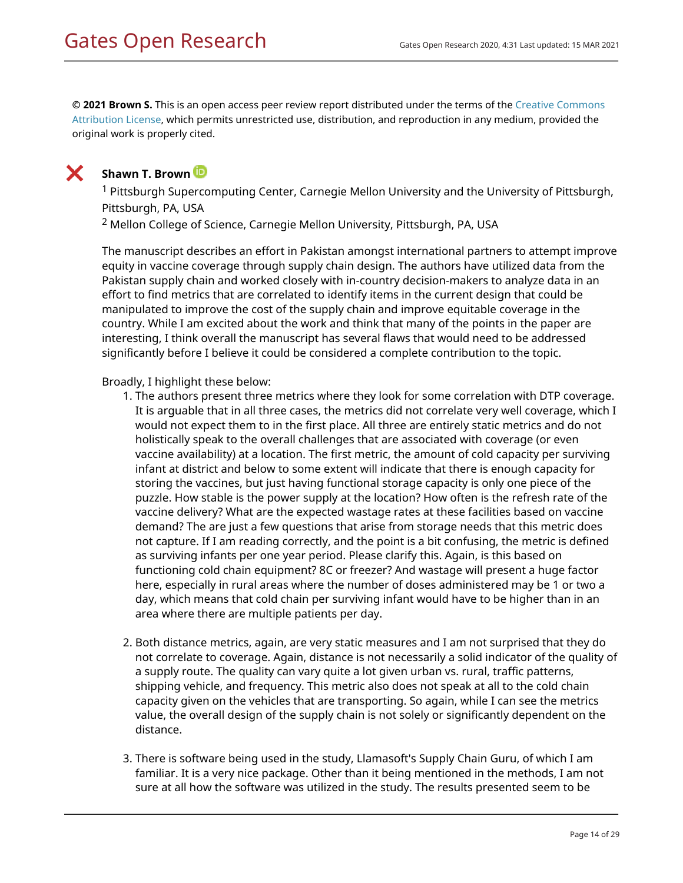**© 2021 Brown S.** This is an open access peer review report distributed under the terms of the [Creative Commons](https://creativecommons.org/licenses/by/4.0/) [Attribution License](https://creativecommons.org/licenses/by/4.0/), which permits unrestricted use, distribution, and reproduction in any medium, provided the original work is properly cited.



# **Shawn T. Brown**

<sup>1</sup> Pittsburgh Supercomputing Center, Carnegie Mellon University and the University of Pittsburgh, Pittsburgh, PA, USA

 $2$  Mellon College of Science, Carnegie Mellon University, Pittsburgh, PA, USA

The manuscript describes an effort in Pakistan amongst international partners to attempt improve equity in vaccine coverage through supply chain design. The authors have utilized data from the Pakistan supply chain and worked closely with in-country decision-makers to analyze data in an effort to find metrics that are correlated to identify items in the current design that could be manipulated to improve the cost of the supply chain and improve equitable coverage in the country. While I am excited about the work and think that many of the points in the paper are interesting, I think overall the manuscript has several flaws that would need to be addressed significantly before I believe it could be considered a complete contribution to the topic.

## Broadly, I highlight these below:

- 1. The authors present three metrics where they look for some correlation with DTP coverage. It is arguable that in all three cases, the metrics did not correlate very well coverage, which I would not expect them to in the first place. All three are entirely static metrics and do not holistically speak to the overall challenges that are associated with coverage (or even vaccine availability) at a location. The first metric, the amount of cold capacity per surviving infant at district and below to some extent will indicate that there is enough capacity for storing the vaccines, but just having functional storage capacity is only one piece of the puzzle. How stable is the power supply at the location? How often is the refresh rate of the vaccine delivery? What are the expected wastage rates at these facilities based on vaccine demand? The are just a few questions that arise from storage needs that this metric does not capture. If I am reading correctly, and the point is a bit confusing, the metric is defined as surviving infants per one year period. Please clarify this. Again, is this based on functioning cold chain equipment? 8C or freezer? And wastage will present a huge factor here, especially in rural areas where the number of doses administered may be 1 or two a day, which means that cold chain per surviving infant would have to be higher than in an area where there are multiple patients per day.
- 2. Both distance metrics, again, are very static measures and I am not surprised that they do not correlate to coverage. Again, distance is not necessarily a solid indicator of the quality of a supply route. The quality can vary quite a lot given urban vs. rural, traffic patterns, shipping vehicle, and frequency. This metric also does not speak at all to the cold chain capacity given on the vehicles that are transporting. So again, while I can see the metrics value, the overall design of the supply chain is not solely or significantly dependent on the distance.
- 3. There is software being used in the study, Llamasoft's Supply Chain Guru, of which I am familiar. It is a very nice package. Other than it being mentioned in the methods, I am not sure at all how the software was utilized in the study. The results presented seem to be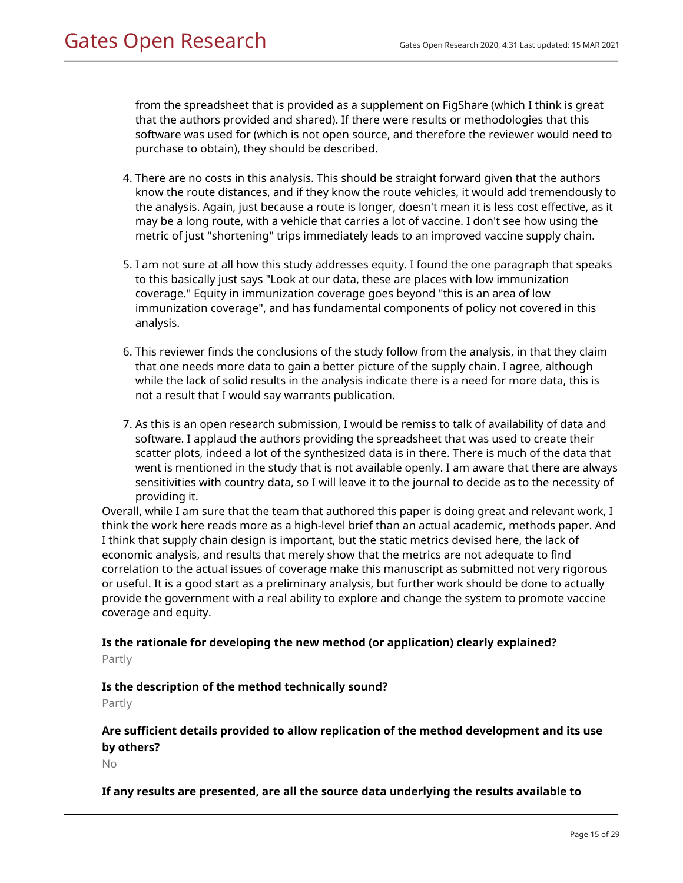from the spreadsheet that is provided as a supplement on FigShare (which I think is great that the authors provided and shared). If there were results or methodologies that this software was used for (which is not open source, and therefore the reviewer would need to purchase to obtain), they should be described.

- 4. There are no costs in this analysis. This should be straight forward given that the authors know the route distances, and if they know the route vehicles, it would add tremendously to the analysis. Again, just because a route is longer, doesn't mean it is less cost effective, as it may be a long route, with a vehicle that carries a lot of vaccine. I don't see how using the metric of just "shortening" trips immediately leads to an improved vaccine supply chain.
- 5. I am not sure at all how this study addresses equity. I found the one paragraph that speaks to this basically just says "Look at our data, these are places with low immunization coverage." Equity in immunization coverage goes beyond "this is an area of low immunization coverage", and has fundamental components of policy not covered in this analysis.
- 6. This reviewer finds the conclusions of the study follow from the analysis, in that they claim that one needs more data to gain a better picture of the supply chain. I agree, although while the lack of solid results in the analysis indicate there is a need for more data, this is not a result that I would say warrants publication.
- 7. As this is an open research submission, I would be remiss to talk of availability of data and software. I applaud the authors providing the spreadsheet that was used to create their scatter plots, indeed a lot of the synthesized data is in there. There is much of the data that went is mentioned in the study that is not available openly. I am aware that there are always sensitivities with country data, so I will leave it to the journal to decide as to the necessity of providing it.

Overall, while I am sure that the team that authored this paper is doing great and relevant work, I think the work here reads more as a high-level brief than an actual academic, methods paper. And I think that supply chain design is important, but the static metrics devised here, the lack of economic analysis, and results that merely show that the metrics are not adequate to find correlation to the actual issues of coverage make this manuscript as submitted not very rigorous or useful. It is a good start as a preliminary analysis, but further work should be done to actually provide the government with a real ability to explore and change the system to promote vaccine coverage and equity.

# **Is the rationale for developing the new method (or application) clearly explained?** Partly

# **Is the description of the method technically sound?**

Partly

# **Are sufficient details provided to allow replication of the method development and its use by others?**

No

# **If any results are presented, are all the source data underlying the results available to**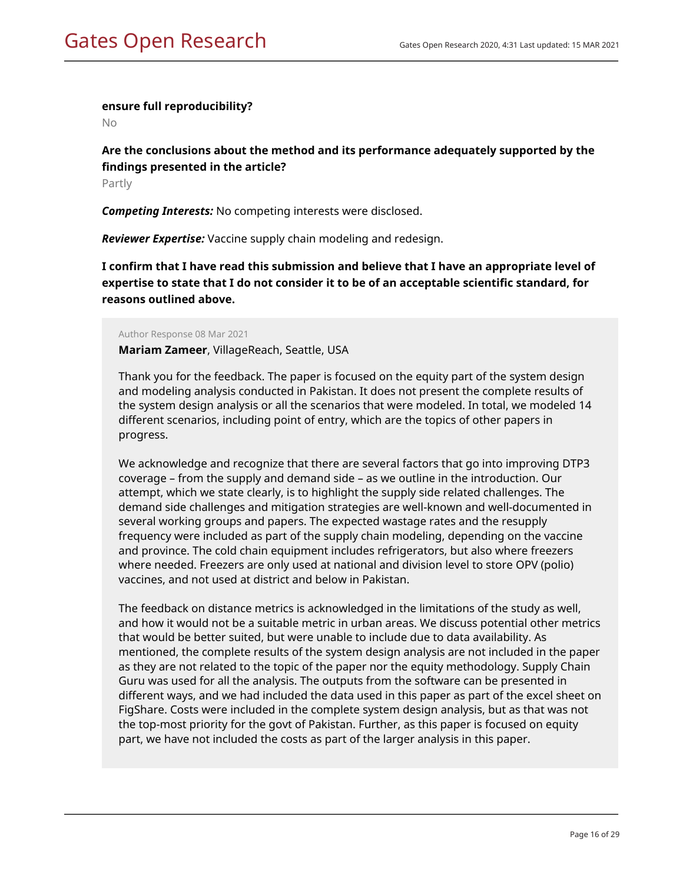### **ensure full reproducibility?**

No

# **Are the conclusions about the method and its performance adequately supported by the findings presented in the article?**

Partly

*Competing Interests:* No competing interests were disclosed.

*Reviewer Expertise:* Vaccine supply chain modeling and redesign.

**I confirm that I have read this submission and believe that I have an appropriate level of expertise to state that I do not consider it to be of an acceptable scientific standard, for reasons outlined above.**

### Author Response 08 Mar 2021

**Mariam Zameer**, VillageReach, Seattle, USA

Thank you for the feedback. The paper is focused on the equity part of the system design and modeling analysis conducted in Pakistan. It does not present the complete results of the system design analysis or all the scenarios that were modeled. In total, we modeled 14 different scenarios, including point of entry, which are the topics of other papers in progress.

We acknowledge and recognize that there are several factors that go into improving DTP3 coverage – from the supply and demand side – as we outline in the introduction. Our attempt, which we state clearly, is to highlight the supply side related challenges. The demand side challenges and mitigation strategies are well-known and well-documented in several working groups and papers. The expected wastage rates and the resupply frequency were included as part of the supply chain modeling, depending on the vaccine and province. The cold chain equipment includes refrigerators, but also where freezers where needed. Freezers are only used at national and division level to store OPV (polio) vaccines, and not used at district and below in Pakistan.

The feedback on distance metrics is acknowledged in the limitations of the study as well, and how it would not be a suitable metric in urban areas. We discuss potential other metrics that would be better suited, but were unable to include due to data availability. As mentioned, the complete results of the system design analysis are not included in the paper as they are not related to the topic of the paper nor the equity methodology. Supply Chain Guru was used for all the analysis. The outputs from the software can be presented in different ways, and we had included the data used in this paper as part of the excel sheet on FigShare. Costs were included in the complete system design analysis, but as that was not the top-most priority for the govt of Pakistan. Further, as this paper is focused on equity part, we have not included the costs as part of the larger analysis in this paper.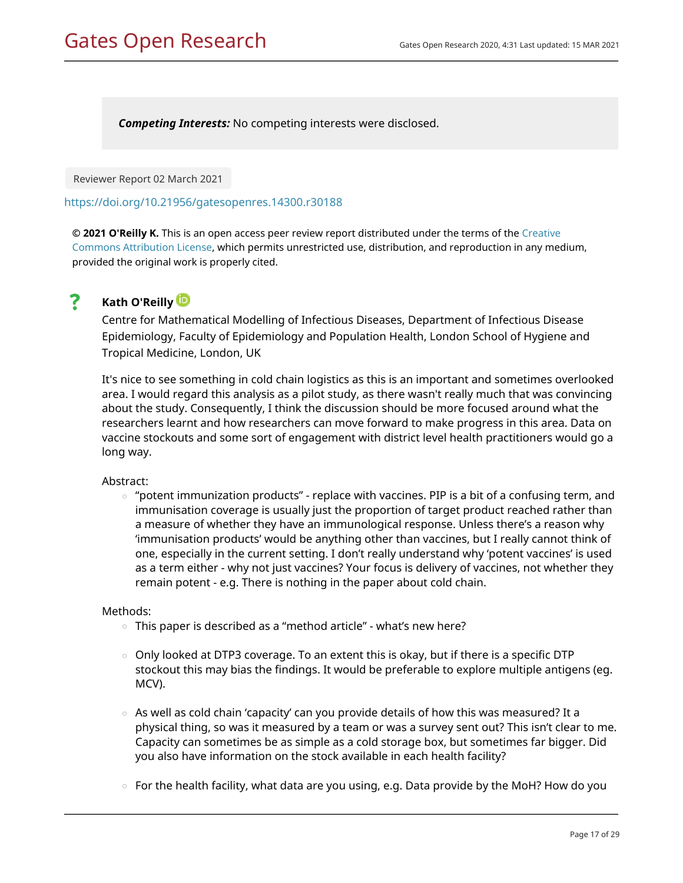*Competing Interests:* No competing interests were disclosed.

Reviewer Report 02 March 2021

<https://doi.org/10.21956/gatesopenres.14300.r30188>

**© 2021 O'Reilly K.** This is an open access peer review report distributed under the terms of the [Creative](https://creativecommons.org/licenses/by/4.0/) [Commons Attribution License](https://creativecommons.org/licenses/by/4.0/), which permits unrestricted use, distribution, and reproduction in any medium, provided the original work is properly cited.

#### ? **Kath O'Reilly**

Centre for Mathematical Modelling of Infectious Diseases, Department of Infectious Disease Epidemiology, Faculty of Epidemiology and Population Health, London School of Hygiene and Tropical Medicine, London, UK

It's nice to see something in cold chain logistics as this is an important and sometimes overlooked area. I would regard this analysis as a pilot study, as there wasn't really much that was convincing about the study. Consequently, I think the discussion should be more focused around what the researchers learnt and how researchers can move forward to make progress in this area. Data on vaccine stockouts and some sort of engagement with district level health practitioners would go a long way.

### Abstract:

 $\circ$  "potent immunization products" - replace with vaccines. PIP is a bit of a confusing term, and immunisation coverage is usually just the proportion of target product reached rather than a measure of whether they have an immunological response. Unless there's a reason why 'immunisation products' would be anything other than vaccines, but I really cannot think of one, especially in the current setting. I don't really understand why 'potent vaccines' is used as a term either - why not just vaccines? Your focus is delivery of vaccines, not whether they remain potent - e.g. There is nothing in the paper about cold chain.

### Methods:

- This paper is described as a "method article" what's new here?
- $\,\circ\,$  Only looked at DTP3 coverage. To an extent this is okay, but if there is a specific DTP stockout this may bias the findings. It would be preferable to explore multiple antigens (eg. MCV).
- $\circ$   $\,$  As well as cold chain 'capacity' can you provide details of how this was measured? It a physical thing, so was it measured by a team or was a survey sent out? This isn't clear to me. Capacity can sometimes be as simple as a cold storage box, but sometimes far bigger. Did you also have information on the stock available in each health facility?
- $\circ$  For the health facility, what data are you using, e.g. Data provide by the MoH? How do you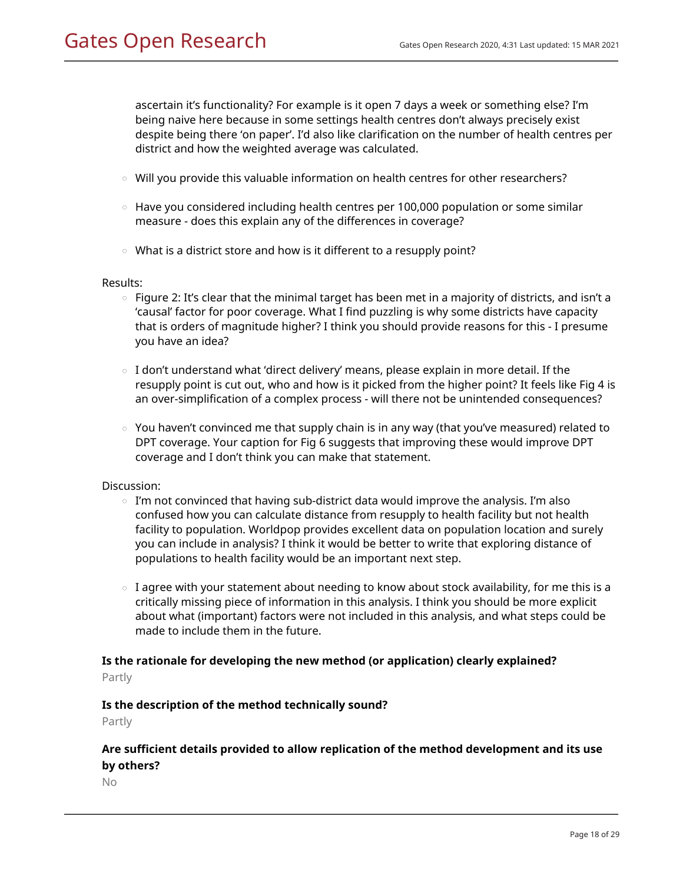ascertain it's functionality? For example is it open 7 days a week or something else? I'm being naive here because in some settings health centres don't always precisely exist despite being there 'on paper'. I'd also like clarification on the number of health centres per district and how the weighted average was calculated.

- $\circ$  Will you provide this valuable information on health centres for other researchers?
- $\,\circ\,$  Have you considered including health centres per 100,000 population or some similar measure - does this explain any of the differences in coverage?
- What is a district store and how is it different to a resupply point?

### Results:

- $\,\circ\,$  Figure 2: It's clear that the minimal target has been met in a majority of districts, and isn't a 'causal' factor for poor coverage. What I find puzzling is why some districts have capacity that is orders of magnitude higher? I think you should provide reasons for this - I presume you have an idea?
- $\circ$   $\,$  I don't understand what 'direct delivery' means, please explain in more detail. If the resupply point is cut out, who and how is it picked from the higher point? It feels like Fig 4 is an over-simplification of a complex process - will there not be unintended consequences?
- $\,\circ\,$  You haven't convinced me that supply chain is in any way (that you've measured) related to DPT coverage. Your caption for Fig 6 suggests that improving these would improve DPT coverage and I don't think you can make that statement.

### Discussion:

- $\,\circ\,$  I'm not convinced that having sub-district data would improve the analysis. I'm also confused how you can calculate distance from resupply to health facility but not health facility to population. Worldpop provides excellent data on population location and surely you can include in analysis? I think it would be better to write that exploring distance of populations to health facility would be an important next step.
- $\,\circ\,$  I agree with your statement about needing to know about stock availability, for me this is a critically missing piece of information in this analysis. I think you should be more explicit about what (important) factors were not included in this analysis, and what steps could be made to include them in the future.

# **Is the rationale for developing the new method (or application) clearly explained?**

Partly

### **Is the description of the method technically sound?**

Partly

# **Are sufficient details provided to allow replication of the method development and its use by others?**

No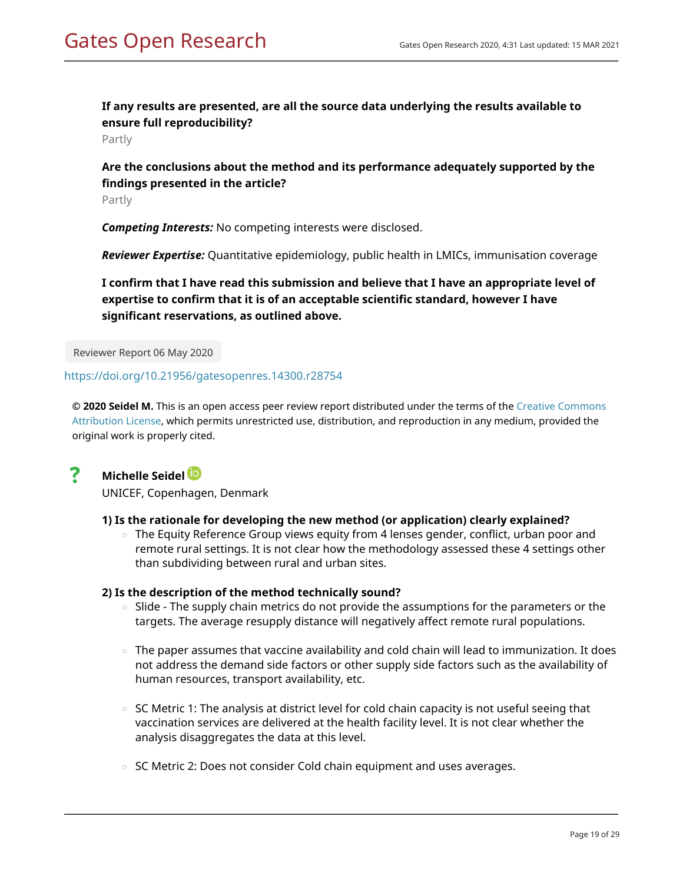# **If any results are presented, are all the source data underlying the results available to ensure full reproducibility?**

Partly

# **Are the conclusions about the method and its performance adequately supported by the findings presented in the article?**

Partly

*Competing Interests:* No competing interests were disclosed.

*Reviewer Expertise:* Quantitative epidemiology, public health in LMICs, immunisation coverage

**I confirm that I have read this submission and believe that I have an appropriate level of expertise to confirm that it is of an acceptable scientific standard, however I have significant reservations, as outlined above.**

Reviewer Report 06 May 2020

### <https://doi.org/10.21956/gatesopenres.14300.r28754>

**© 2020 Seidel M.** This is an open access peer review report distributed under the terms of the [Creative Commons](https://creativecommons.org/licenses/by/4.0/) [Attribution License](https://creativecommons.org/licenses/by/4.0/), which permits unrestricted use, distribution, and reproduction in any medium, provided the original work is properly cited.

#### ? **Michelle Seidel**

UNICEF, Copenhagen, Denmark

### **1) Is the rationale for developing the new method (or application) clearly explained?**

○ The Equity Reference Group views equity from 4 lenses gender, conflict, urban poor and remote rural settings. It is not clear how the methodology assessed these 4 settings other than subdividing between rural and urban sites.

### **2) Is the description of the method technically sound?**

- Slide The supply chain metrics do not provide the assumptions for the parameters or the targets. The average resupply distance will negatively affect remote rural populations. ○
- $\,\circ\,$  The paper assumes that vaccine availability and cold chain will lead to immunization. It does not address the demand side factors or other supply side factors such as the availability of human resources, transport availability, etc.
- $\circ~$  SC Metric 1: The analysis at district level for cold chain capacity is not useful seeing that vaccination services are delivered at the health facility level. It is not clear whether the analysis disaggregates the data at this level.
- SC Metric 2: Does not consider Cold chain equipment and uses averages.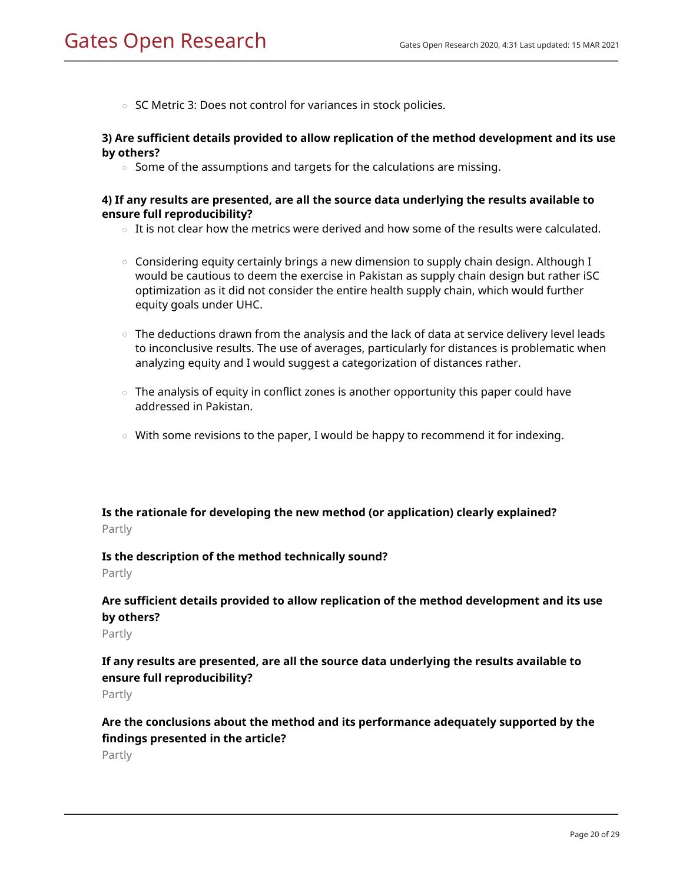○ SC Metric 3: Does not control for variances in stock policies.

### **3) Are sufficient details provided to allow replication of the method development and its use by others?**

 $\circ$  Some of the assumptions and targets for the calculations are missing.

### **4) If any results are presented, are all the source data underlying the results available to ensure full reproducibility?**

- $\circ$  It is not clear how the metrics were derived and how some of the results were calculated.
- $\,\circ\,$  Considering equity certainly brings a new dimension to supply chain design. Although I would be cautious to deem the exercise in Pakistan as supply chain design but rather iSC optimization as it did not consider the entire health supply chain, which would further equity goals under UHC.
- $\,\circ\,$  The deductions drawn from the analysis and the lack of data at service delivery level leads to inconclusive results. The use of averages, particularly for distances is problematic when analyzing equity and I would suggest a categorization of distances rather.
- $\,\circ\,$  The analysis of equity in conflict zones is another opportunity this paper could have addressed in Pakistan.
- With some revisions to the paper, I would be happy to recommend it for indexing.

# **Is the rationale for developing the new method (or application) clearly explained?** Partly

### **Is the description of the method technically sound?**

Partly

# **Are sufficient details provided to allow replication of the method development and its use by others?**

Partly

# **If any results are presented, are all the source data underlying the results available to ensure full reproducibility?**

Partly

# **Are the conclusions about the method and its performance adequately supported by the findings presented in the article?**

Partly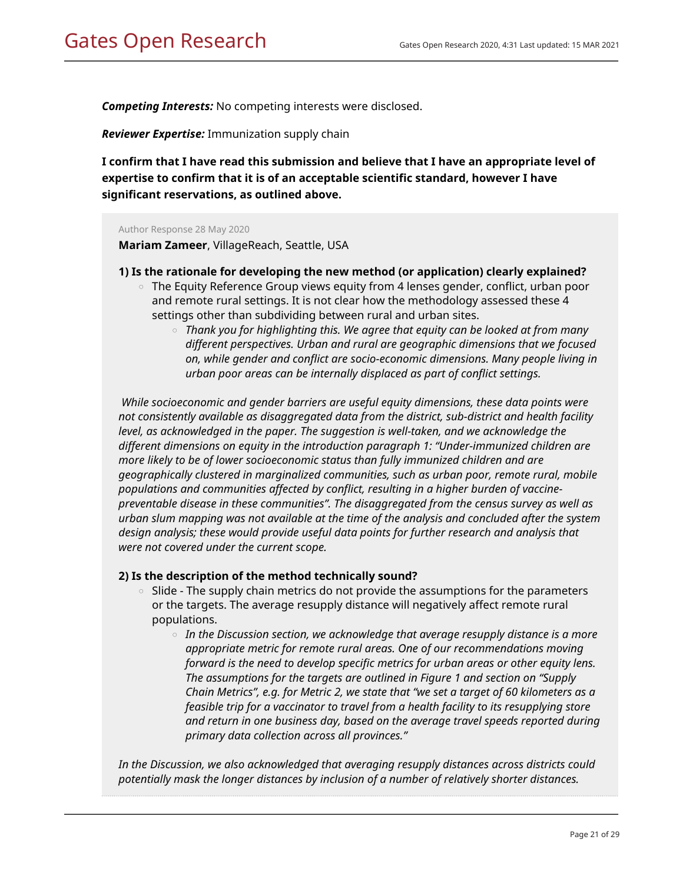*Competing Interests:* No competing interests were disclosed.

*Reviewer Expertise:* Immunization supply chain

**I confirm that I have read this submission and believe that I have an appropriate level of expertise to confirm that it is of an acceptable scientific standard, however I have significant reservations, as outlined above.**

Author Response 28 May 2020

**Mariam Zameer**, VillageReach, Seattle, USA

### **1) Is the rationale for developing the new method (or application) clearly explained?**

- $\,\circ\,$  The Equity Reference Group views equity from 4 lenses gender, conflict, urban poor and remote rural settings. It is not clear how the methodology assessed these 4 settings other than subdividing between rural and urban sites.
	- Thank you for highlighting this. We agree that equity can be looked at from many *different perspectives. Urban and rural are geographic dimensions that we focused on, while gender and conflict are socio-economic dimensions. Many people living in urban poor areas can be internally displaced as part of conflict settings.*

*While socioeconomic and gender barriers are useful equity dimensions, these data points were not consistently available as disaggregated data from the district, sub-district and health facility level, as acknowledged in the paper. The suggestion is well-taken, and we acknowledge the different dimensions on equity in the introduction paragraph 1: "Under-immunized children are more likely to be of lower socioeconomic status than fully immunized children and are geographically clustered in marginalized communities, such as urban poor, remote rural, mobile populations and communities affected by conflict, resulting in a higher burden of vaccinepreventable disease in these communities". The disaggregated from the census survey as well as urban slum mapping was not available at the time of the analysis and concluded after the system design analysis; these would provide useful data points for further research and analysis that were not covered under the current scope.*

## **2) Is the description of the method technically sound?**

- $\circ$   $\,$  Slide The supply chain metrics do not provide the assumptions for the parameters or the targets. The average resupply distance will negatively affect remote rural populations.
	- $\,\circ\,$  In the Discussion section, we acknowledge that average resupply distance is a more *appropriate metric for remote rural areas. One of our recommendations moving forward is the need to develop specific metrics for urban areas or other equity lens. The assumptions for the targets are outlined in Figure 1 and section on "Supply Chain Metrics", e.g. for Metric 2, we state that "we set a target of 60 kilometers as a feasible trip for a vaccinator to travel from a health facility to its resupplying store and return in one business day, based on the average travel speeds reported during primary data collection across all provinces."*

*In the Discussion, we also acknowledged that averaging resupply distances across districts could potentially mask the longer distances by inclusion of a number of relatively shorter distances.*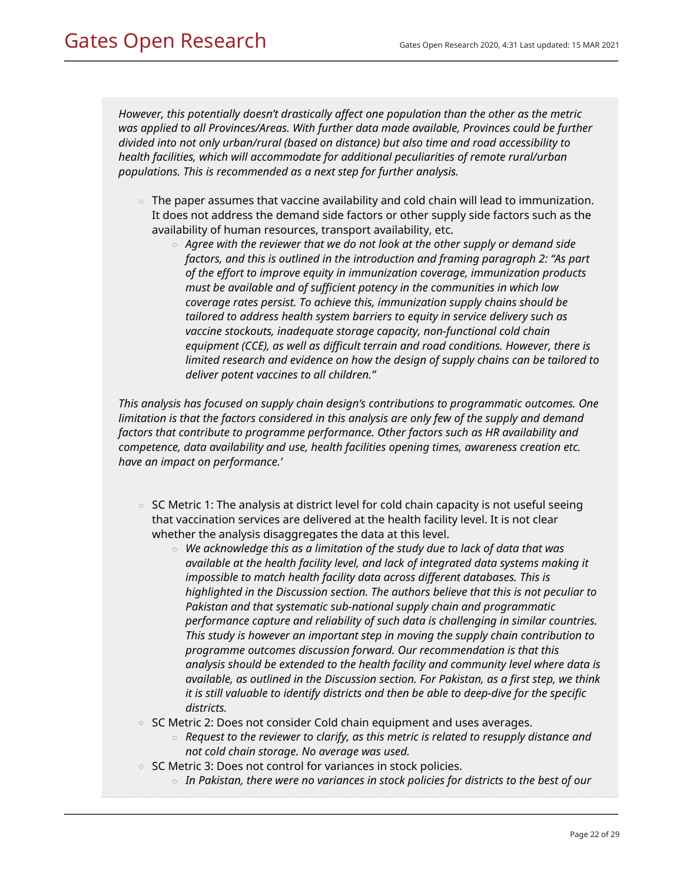*However, this potentially doesn't drastically affect one population than the other as the metric was applied to all Provinces/Areas. With further data made available, Provinces could be further divided into not only urban/rural (based on distance) but also time and road accessibility to health facilities, which will accommodate for additional peculiarities of remote rural/urban populations. This is recommended as a next step for further analysis.*

- $\,\circ\,$  The paper assumes that vaccine availability and cold chain will lead to immunization. It does not address the demand side factors or other supply side factors such as the availability of human resources, transport availability, etc.
	- Agree with the reviewer that we do not look at the other supply or demand side *factors, and this is outlined in the introduction and framing paragraph 2: "As part of the effort to improve equity in immunization coverage, immunization products must be available and of sufficient potency in the communities in which low coverage rates persist. To achieve this, immunization supply chains should be tailored to address health system barriers to equity in service delivery such as vaccine stockouts, inadequate storage capacity, non-functional cold chain equipment (CCE), as well as difficult terrain and road conditions. However, there is limited research and evidence on how the design of supply chains can be tailored to deliver potent vaccines to all children."*

*This analysis has focused on supply chain design's contributions to programmatic outcomes. One limitation is that the factors considered in this analysis are only few of the supply and demand factors that contribute to programme performance. Other factors such as HR availability and competence, data availability and use, health facilities opening times, awareness creation etc. have an impact on performance.'*

- $\circ~$  SC Metric 1: The analysis at district level for cold chain capacity is not useful seeing that vaccination services are delivered at the health facility level. It is not clear whether the analysis disaggregates the data at this level.
	- *We acknowledge this as a limitation of the study due to lack of data that was available at the health facility level, and lack of integrated data systems making it impossible to match health facility data across different databases. This is highlighted in the Discussion section. The authors believe that this is not peculiar to Pakistan and that systematic sub-national supply chain and programmatic performance capture and reliability of such data is challenging in similar countries. This study is however an important step in moving the supply chain contribution to programme outcomes discussion forward. Our recommendation is that this analysis should be extended to the health facility and community level where data is available, as outlined in the Discussion section. For Pakistan, as a first step, we think it is still valuable to identify districts and then be able to deep-dive for the specific districts.*
- SC Metric 2: Does not consider Cold chain equipment and uses averages.
	- *Request to the reviewer to clarify, as this metric is related to resupply distance and not cold chain storage. No average was used.*
- $\circ$  SC Metric 3: Does not control for variances in stock policies.
	- *In Pakistan, there were no variances in stock policies for districts to the best of our*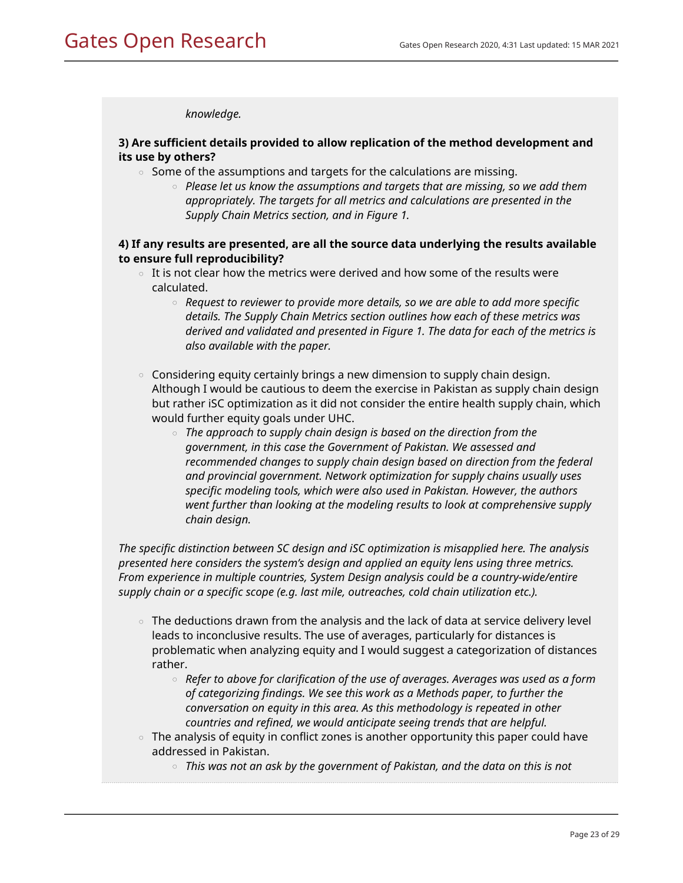*knowledge.*

## **3) Are sufficient details provided to allow replication of the method development and its use by others?**

- $\,\circ\,$  Some of the assumptions and targets for the calculations are missing.
	- Please let us know the assumptions and targets that are missing, so we add them *appropriately. The targets for all metrics and calculations are presented in the Supply Chain Metrics section, and in Figure 1.*

## **4) If any results are presented, are all the source data underlying the results available to ensure full reproducibility?**

- $\,\circ\,$  It is not clear how the metrics were derived and how some of the results were calculated.
	- Request to reviewer to provide more details, so we are able to add more specific *details. The Supply Chain Metrics section outlines how each of these metrics was derived and validated and presented in Figure 1. The data for each of the metrics is also available with the paper.*
- $\circ$  Considering equity certainly brings a new dimension to supply chain design. Although I would be cautious to deem the exercise in Pakistan as supply chain design but rather iSC optimization as it did not consider the entire health supply chain, which would further equity goals under UHC.
	- The approach to supply chain design is based on the direction from the *government, in this case the Government of Pakistan. We assessed and recommended changes to supply chain design based on direction from the federal and provincial government. Network optimization for supply chains usually uses specific modeling tools, which were also used in Pakistan. However, the authors went further than looking at the modeling results to look at comprehensive supply chain design.*

*The specific distinction between SC design and iSC optimization is misapplied here. The analysis presented here considers the system's design and applied an equity lens using three metrics. From experience in multiple countries, System Design analysis could be a country-wide/entire supply chain or a specific scope (e.g. last mile, outreaches, cold chain utilization etc.).*

- $\circ$   $\,$  The deductions drawn from the analysis and the lack of data at service delivery level leads to inconclusive results. The use of averages, particularly for distances is problematic when analyzing equity and I would suggest a categorization of distances rather.
	- *Refer to above for clarification of the use of averages. Averages was used as a form of categorizing findings. We see this work as a Methods paper, to further the conversation on equity in this area. As this methodology is repeated in other countries and refined, we would anticipate seeing trends that are helpful.*
- $\,\circ\,$  The analysis of equity in conflict zones is another opportunity this paper could have addressed in Pakistan.
	- *This was not an ask by the government of Pakistan, and the data on this is not*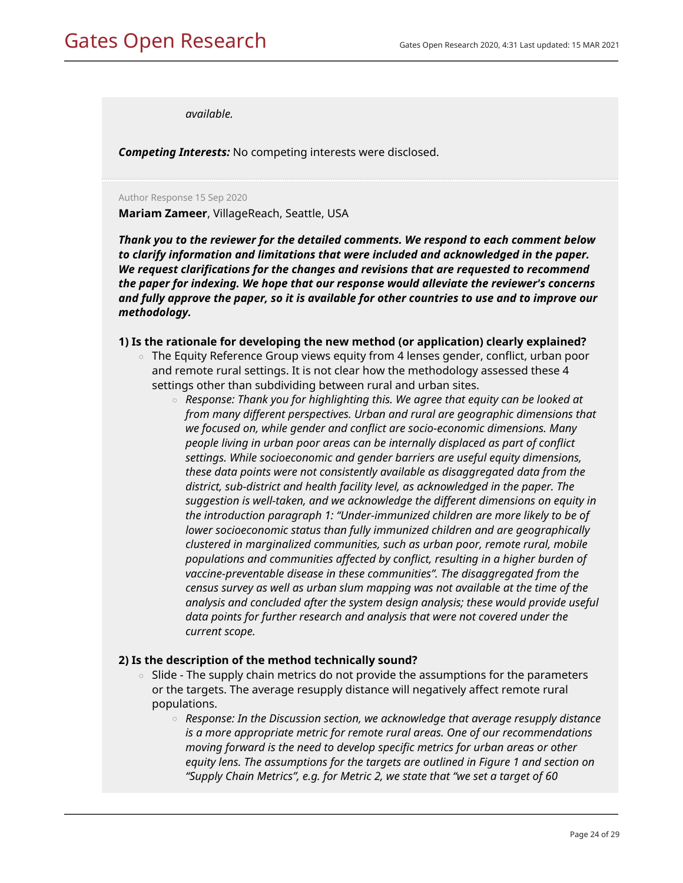*available.*

*Competing Interests:* No competing interests were disclosed.

Author Response 15 Sep 2020

**Mariam Zameer**, VillageReach, Seattle, USA

*Thank you to the reviewer for the detailed comments. We respond to each comment below to clarify information and limitations that were included and acknowledged in the paper. We request clarifications for the changes and revisions that are requested to recommend the paper for indexing. We hope that our response would alleviate the reviewer's concerns and fully approve the paper, so it is available for other countries to use and to improve our methodology.*

### **1) Is the rationale for developing the new method (or application) clearly explained?**

- $\,\circ\,$  The Equity Reference Group views equity from 4 lenses gender, conflict, urban poor and remote rural settings. It is not clear how the methodology assessed these 4 settings other than subdividing between rural and urban sites.
	- *Response: Thank you for highlighting this. We agree that equity can be looked at from many different perspectives. Urban and rural are geographic dimensions that we focused on, while gender and conflict are socio-economic dimensions. Many people living in urban poor areas can be internally displaced as part of conflict settings. While socioeconomic and gender barriers are useful equity dimensions, these data points were not consistently available as disaggregated data from the district, sub-district and health facility level, as acknowledged in the paper. The suggestion is well-taken, and we acknowledge the different dimensions on equity in the introduction paragraph 1: "Under-immunized children are more likely to be of lower socioeconomic status than fully immunized children and are geographically clustered in marginalized communities, such as urban poor, remote rural, mobile populations and communities affected by conflict, resulting in a higher burden of vaccine-preventable disease in these communities". The disaggregated from the census survey as well as urban slum mapping was not available at the time of the analysis and concluded after the system design analysis; these would provide useful data points for further research and analysis that were not covered under the current scope.*

### **2) Is the description of the method technically sound?**

- Slide The supply chain metrics do not provide the assumptions for the parameters or the targets. The average resupply distance will negatively affect remote rural populations.  $\circ$ 
	- Response: In the Discussion section, we acknowledge that average resupply distance *is a more appropriate metric for remote rural areas. One of our recommendations moving forward is the need to develop specific metrics for urban areas or other equity lens. The assumptions for the targets are outlined in Figure 1 and section on "Supply Chain Metrics", e.g. for Metric 2, we state that "we set a target of 60*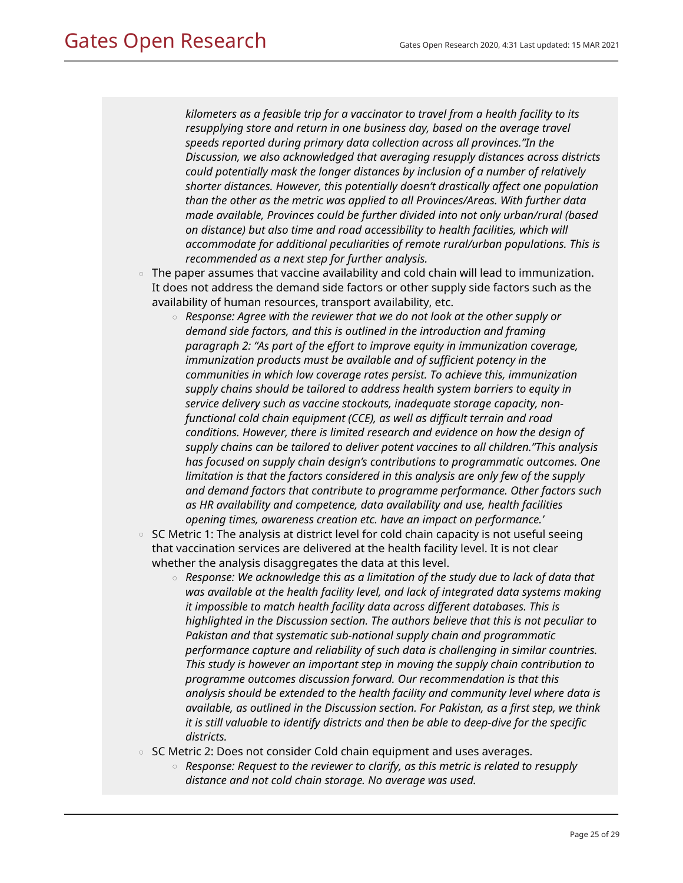*kilometers as a feasible trip for a vaccinator to travel from a health facility to its resupplying store and return in one business day, based on the average travel speeds reported during primary data collection across all provinces."In the Discussion, we also acknowledged that averaging resupply distances across districts could potentially mask the longer distances by inclusion of a number of relatively shorter distances. However, this potentially doesn't drastically affect one population than the other as the metric was applied to all Provinces/Areas. With further data made available, Provinces could be further divided into not only urban/rural (based on distance) but also time and road accessibility to health facilities, which will accommodate for additional peculiarities of remote rural/urban populations. This is recommended as a next step for further analysis.*

- $\,\circ\,$  The paper assumes that vaccine availability and cold chain will lead to immunization. It does not address the demand side factors or other supply side factors such as the availability of human resources, transport availability, etc.
	- Response: Agree with the reviewer that we do not look at the other supply or *demand side factors, and this is outlined in the introduction and framing paragraph 2: "As part of the effort to improve equity in immunization coverage, immunization products must be available and of sufficient potency in the communities in which low coverage rates persist. To achieve this, immunization supply chains should be tailored to address health system barriers to equity in service delivery such as vaccine stockouts, inadequate storage capacity, nonfunctional cold chain equipment (CCE), as well as difficult terrain and road conditions. However, there is limited research and evidence on how the design of supply chains can be tailored to deliver potent vaccines to all children."This analysis has focused on supply chain design's contributions to programmatic outcomes. One limitation is that the factors considered in this analysis are only few of the supply and demand factors that contribute to programme performance. Other factors such as HR availability and competence, data availability and use, health facilities opening times, awareness creation etc. have an impact on performance.'*
- $\circ$   $\,$  SC Metric 1: The analysis at district level for cold chain capacity is not useful seeing that vaccination services are delivered at the health facility level. It is not clear whether the analysis disaggregates the data at this level.
	- *Response: We acknowledge this as a limitation of the study due to lack of data that was available at the health facility level, and lack of integrated data systems making it impossible to match health facility data across different databases. This is highlighted in the Discussion section. The authors believe that this is not peculiar to Pakistan and that systematic sub-national supply chain and programmatic performance capture and reliability of such data is challenging in similar countries. This study is however an important step in moving the supply chain contribution to programme outcomes discussion forward. Our recommendation is that this analysis should be extended to the health facility and community level where data is available, as outlined in the Discussion section. For Pakistan, as a first step, we think it is still valuable to identify districts and then be able to deep-dive for the specific districts.*
- $\,\circ\,$  SC Metric 2: Does not consider Cold chain equipment and uses averages.
	- Response: Request to the reviewer to clarify, as this metric is related to resupply *distance and not cold chain storage. No average was used.*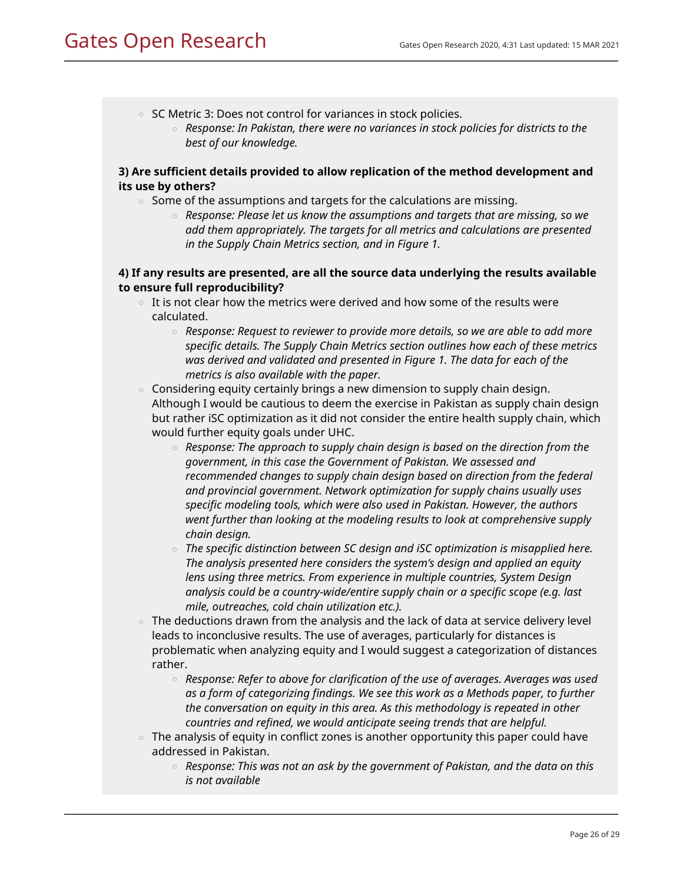- $\circ$  SC Metric 3: Does not control for variances in stock policies.
	- *Response: In Pakistan, there were no variances in stock policies for districts to the best of our knowledge.*

# **3) Are sufficient details provided to allow replication of the method development and its use by others?**

- $\, \circ \,$  Some of the assumptions and targets for the calculations are missing.
	- *Response: Please let us know the assumptions and targets that are missing, so we add them appropriately. The targets for all metrics and calculations are presented in the Supply Chain Metrics section, and in Figure 1.*

# **4) If any results are presented, are all the source data underlying the results available to ensure full reproducibility?**

- $\,\circ\,$  It is not clear how the metrics were derived and how some of the results were calculated.
	- *Response: Request to reviewer to provide more details, so we are able to add more specific details. The Supply Chain Metrics section outlines how each of these metrics was derived and validated and presented in Figure 1. The data for each of the metrics is also available with the paper.*
- $\,\circ\,$  Considering equity certainly brings a new dimension to supply chain design. Although I would be cautious to deem the exercise in Pakistan as supply chain design but rather iSC optimization as it did not consider the entire health supply chain, which would further equity goals under UHC.
	- $\,\circ\,$  Response: The approach to supply chain design is based on the direction from the *government, in this case the Government of Pakistan. We assessed and recommended changes to supply chain design based on direction from the federal and provincial government. Network optimization for supply chains usually uses specific modeling tools, which were also used in Pakistan. However, the authors went further than looking at the modeling results to look at comprehensive supply chain design.*
	- $\,\circ\,$  The specific distinction between SC design and iSC optimization is misapplied here. *The analysis presented here considers the system's design and applied an equity lens using three metrics. From experience in multiple countries, System Design analysis could be a country-wide/entire supply chain or a specific scope (e.g. last mile, outreaches, cold chain utilization etc.).*
- $\circ$   $\,$  The deductions drawn from the analysis and the lack of data at service delivery level leads to inconclusive results. The use of averages, particularly for distances is problematic when analyzing equity and I would suggest a categorization of distances rather.
	- *Response: Refer to above for clarification of the use of averages. Averages was used as a form of categorizing findings. We see this work as a Methods paper, to further the conversation on equity in this area. As this methodology is repeated in other countries and refined, we would anticipate seeing trends that are helpful.*
- $\,\circ\,$  The analysis of equity in conflict zones is another opportunity this paper could have addressed in Pakistan.
	- *Response: This was not an ask by the government of Pakistan, and the data on this is not available*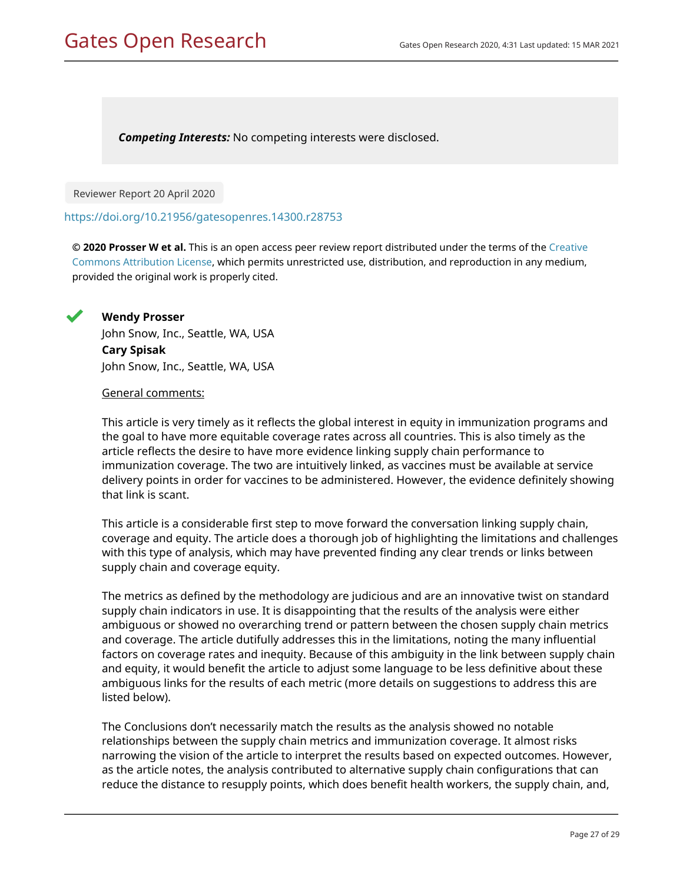*Competing Interests:* No competing interests were disclosed.

Reviewer Report 20 April 2020

<https://doi.org/10.21956/gatesopenres.14300.r28753>

**© 2020 Prosser W et al.** This is an open access peer review report distributed under the terms of the [Creative](https://creativecommons.org/licenses/by/4.0/) [Commons Attribution License](https://creativecommons.org/licenses/by/4.0/), which permits unrestricted use, distribution, and reproduction in any medium, provided the original work is properly cited.



**Wendy Prosser** John Snow, Inc., Seattle, WA, USA **Cary Spisak** John Snow, Inc., Seattle, WA, USA

### General comments:

This article is very timely as it reflects the global interest in equity in immunization programs and the goal to have more equitable coverage rates across all countries. This is also timely as the article reflects the desire to have more evidence linking supply chain performance to immunization coverage. The two are intuitively linked, as vaccines must be available at service delivery points in order for vaccines to be administered. However, the evidence definitely showing that link is scant.

This article is a considerable first step to move forward the conversation linking supply chain, coverage and equity. The article does a thorough job of highlighting the limitations and challenges with this type of analysis, which may have prevented finding any clear trends or links between supply chain and coverage equity.

The metrics as defined by the methodology are judicious and are an innovative twist on standard supply chain indicators in use. It is disappointing that the results of the analysis were either ambiguous or showed no overarching trend or pattern between the chosen supply chain metrics and coverage. The article dutifully addresses this in the limitations, noting the many influential factors on coverage rates and inequity. Because of this ambiguity in the link between supply chain and equity, it would benefit the article to adjust some language to be less definitive about these ambiguous links for the results of each metric (more details on suggestions to address this are listed below).

The Conclusions don't necessarily match the results as the analysis showed no notable relationships between the supply chain metrics and immunization coverage. It almost risks narrowing the vision of the article to interpret the results based on expected outcomes. However, as the article notes, the analysis contributed to alternative supply chain configurations that can reduce the distance to resupply points, which does benefit health workers, the supply chain, and,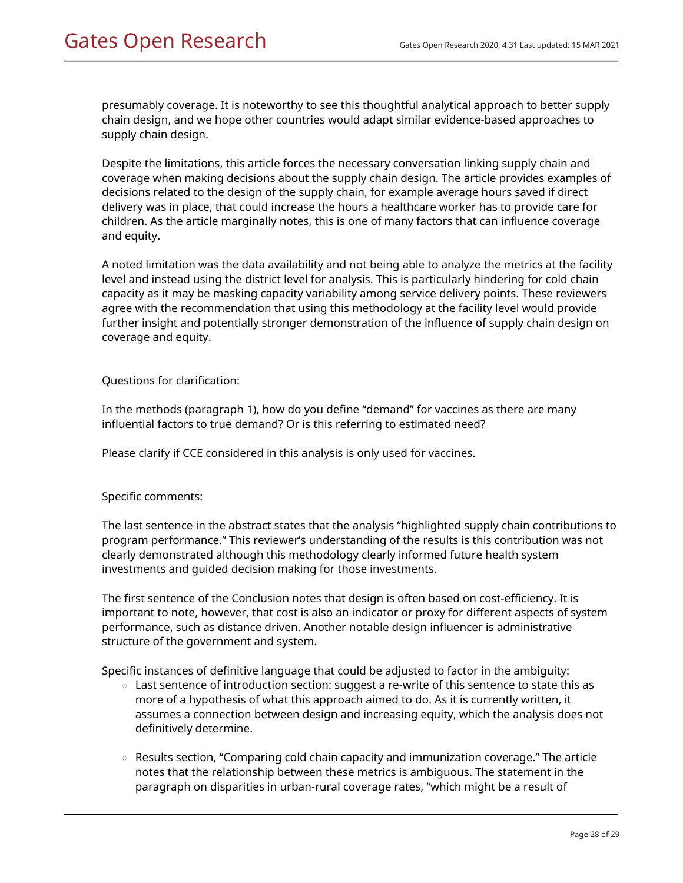presumably coverage. It is noteworthy to see this thoughtful analytical approach to better supply chain design, and we hope other countries would adapt similar evidence-based approaches to supply chain design.

Despite the limitations, this article forces the necessary conversation linking supply chain and coverage when making decisions about the supply chain design. The article provides examples of decisions related to the design of the supply chain, for example average hours saved if direct delivery was in place, that could increase the hours a healthcare worker has to provide care for children. As the article marginally notes, this is one of many factors that can influence coverage and equity.

A noted limitation was the data availability and not being able to analyze the metrics at the facility level and instead using the district level for analysis. This is particularly hindering for cold chain capacity as it may be masking capacity variability among service delivery points. These reviewers agree with the recommendation that using this methodology at the facility level would provide further insight and potentially stronger demonstration of the influence of supply chain design on coverage and equity.

## Questions for clarification:

In the methods (paragraph 1), how do you define "demand" for vaccines as there are many influential factors to true demand? Or is this referring to estimated need?

Please clarify if CCE considered in this analysis is only used for vaccines.

## Specific comments:

The last sentence in the abstract states that the analysis "highlighted supply chain contributions to program performance." This reviewer's understanding of the results is this contribution was not clearly demonstrated although this methodology clearly informed future health system investments and guided decision making for those investments.

The first sentence of the Conclusion notes that design is often based on cost-efficiency. It is important to note, however, that cost is also an indicator or proxy for different aspects of system performance, such as distance driven. Another notable design influencer is administrative structure of the government and system.

Specific instances of definitive language that could be adjusted to factor in the ambiguity:

- $\,\circ\,$  Last sentence of introduction section: suggest a re-write of this sentence to state this as more of a hypothesis of what this approach aimed to do. As it is currently written, it assumes a connection between design and increasing equity, which the analysis does not definitively determine.
- Results section, "Comparing cold chain capacity and immunization coverage." The article notes that the relationship between these metrics is ambiguous. The statement in the paragraph on disparities in urban-rural coverage rates, "which might be a result of  $\circ$